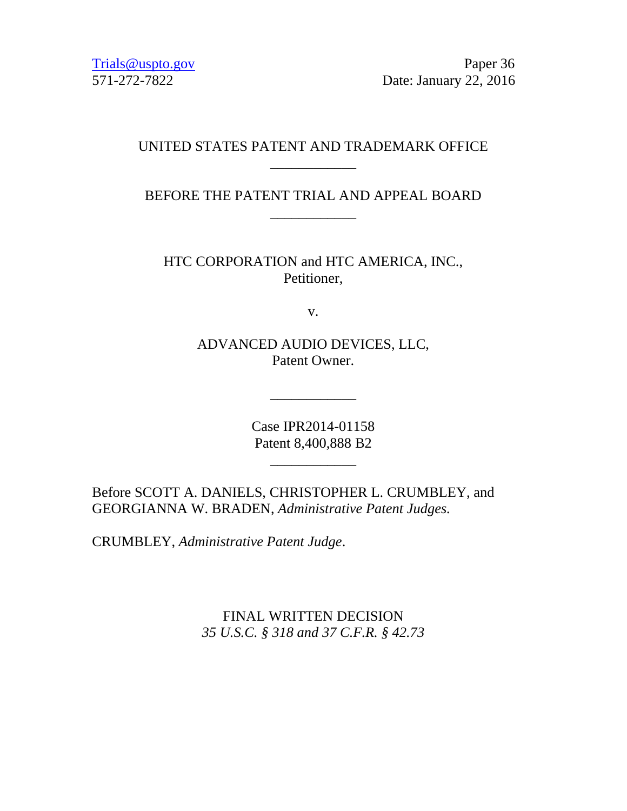[Trials@uspto.gov](mailto:Trials@uspto.gov) Paper 36 571-272-7822 Date: January 22, 2016

### UNITED STATES PATENT AND TRADEMARK OFFICE \_\_\_\_\_\_\_\_\_\_\_\_

BEFORE THE PATENT TRIAL AND APPEAL BOARD \_\_\_\_\_\_\_\_\_\_\_\_

HTC CORPORATION and HTC AMERICA, INC., Petitioner,

v.

ADVANCED AUDIO DEVICES, LLC, Patent Owner.

> Case IPR2014-01158 Patent 8,400,888 B2

> > \_\_\_\_\_\_\_\_\_\_\_\_

\_\_\_\_\_\_\_\_\_\_\_\_

Before SCOTT A. DANIELS, CHRISTOPHER L. CRUMBLEY, and GEORGIANNA W. BRADEN, *Administrative Patent Judges.*

CRUMBLEY, *Administrative Patent Judge*.

FINAL WRITTEN DECISION *35 U.S.C. § 318 and 37 C.F.R. § 42.73*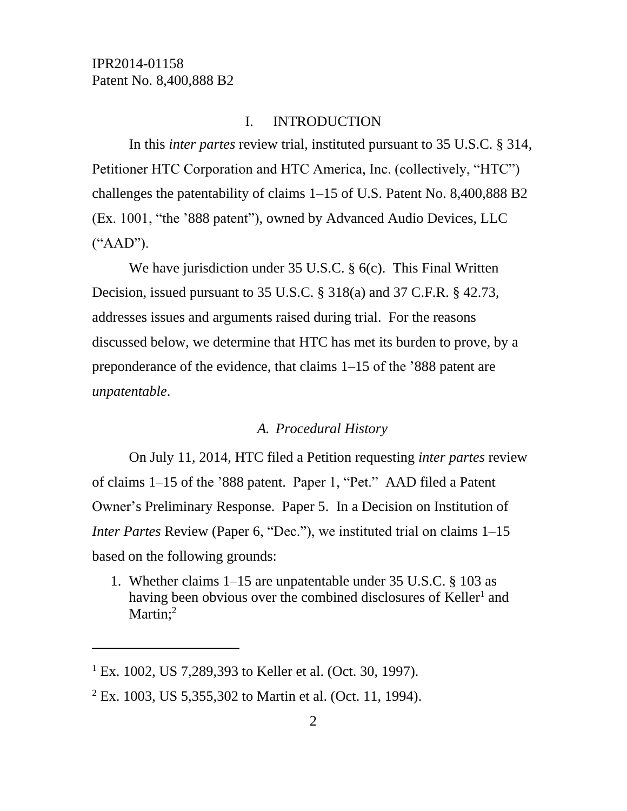### I. INTRODUCTION

In this *inter partes* review trial, instituted pursuant to 35 U.S.C. § 314, Petitioner HTC Corporation and HTC America, Inc. (collectively, "HTC") challenges the patentability of claims 1–15 of U.S. Patent No. 8,400,888 B2 (Ex. 1001, "the '888 patent"), owned by Advanced Audio Devices, LLC ("AAD").

We have jurisdiction under 35 U.S.C. § 6(c). This Final Written Decision, issued pursuant to 35 U.S.C. § 318(a) and 37 C.F.R. § 42.73, addresses issues and arguments raised during trial. For the reasons discussed below, we determine that HTC has met its burden to prove, by a preponderance of the evidence, that claims 1–15 of the '888 patent are *unpatentable*.

### *A. Procedural History*

On July 11, 2014, HTC filed a Petition requesting *inter partes* review of claims 1–15 of the '888 patent. Paper 1, "Pet." AAD filed a Patent Owner's Preliminary Response. Paper 5. In a Decision on Institution of *Inter Partes* Review (Paper 6, "Dec."), we instituted trial on claims 1–15 based on the following grounds:

1. Whether claims 1–15 are unpatentable under 35 U.S.C. § 103 as having been obvious over the combined disclosures of Keller<sup>1</sup> and Martin:<sup>2</sup>

l

<sup>&</sup>lt;sup>1</sup> Ex. 1002, US 7,289,393 to Keller et al. (Oct. 30, 1997).

 $2$  Ex. 1003, US 5,355,302 to Martin et al. (Oct. 11, 1994).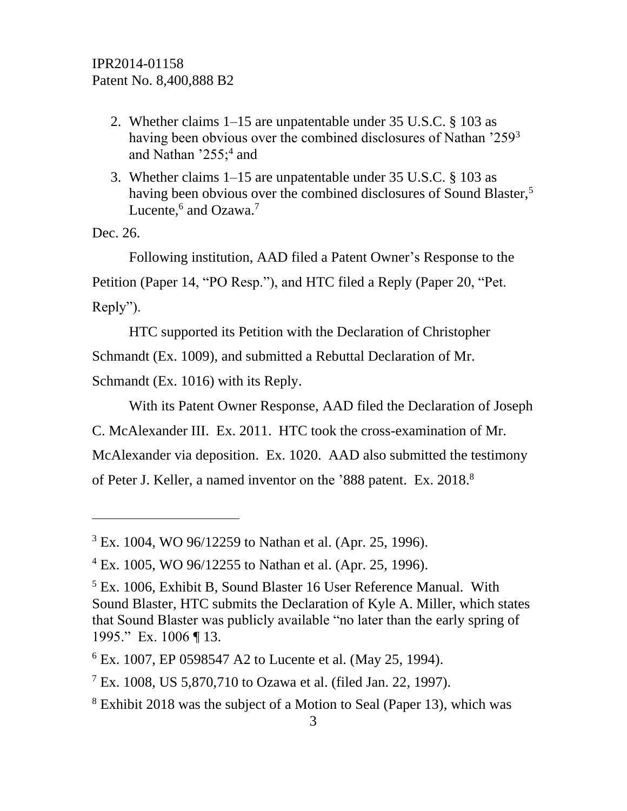- 2. Whether claims 1–15 are unpatentable under 35 U.S.C. § 103 as having been obvious over the combined disclosures of Nathan '259<sup>3</sup> and Nathan  $255$ ;<sup>4</sup> and
- 3. Whether claims 1–15 are unpatentable under 35 U.S.C. § 103 as having been obvious over the combined disclosures of Sound Blaster,<sup>5</sup> Lucente,<sup>6</sup> and Ozawa.<sup>7</sup>

Dec. 26.

 $\overline{a}$ 

Following institution, AAD filed a Patent Owner's Response to the Petition (Paper 14, "PO Resp."), and HTC filed a Reply (Paper 20, "Pet. Reply").

HTC supported its Petition with the Declaration of Christopher Schmandt (Ex. 1009), and submitted a Rebuttal Declaration of Mr.

Schmandt (Ex. 1016) with its Reply.

With its Patent Owner Response, AAD filed the Declaration of Joseph C. McAlexander III. Ex. 2011. HTC took the cross-examination of Mr. McAlexander via deposition. Ex. 1020. AAD also submitted the testimony

of Peter J. Keller, a named inventor on the '888 patent. Ex. 2018.<sup>8</sup>

<sup>3</sup> Ex. 1004, WO 96/12259 to Nathan et al. (Apr. 25, 1996).

 $4$  Ex. 1005, WO 96/12255 to Nathan et al. (Apr. 25, 1996).

<sup>5</sup> Ex. 1006, Exhibit B, Sound Blaster 16 User Reference Manual. With Sound Blaster, HTC submits the Declaration of Kyle A. Miller, which states that Sound Blaster was publicly available "no later than the early spring of 1995." Ex. 1006 ¶ 13.

<sup>6</sup> Ex. 1007, EP 0598547 A2 to Lucente et al. (May 25, 1994).

<sup>7</sup> Ex. 1008, US 5,870,710 to Ozawa et al. (filed Jan. 22, 1997).

<sup>8</sup> Exhibit 2018 was the subject of a Motion to Seal (Paper 13), which was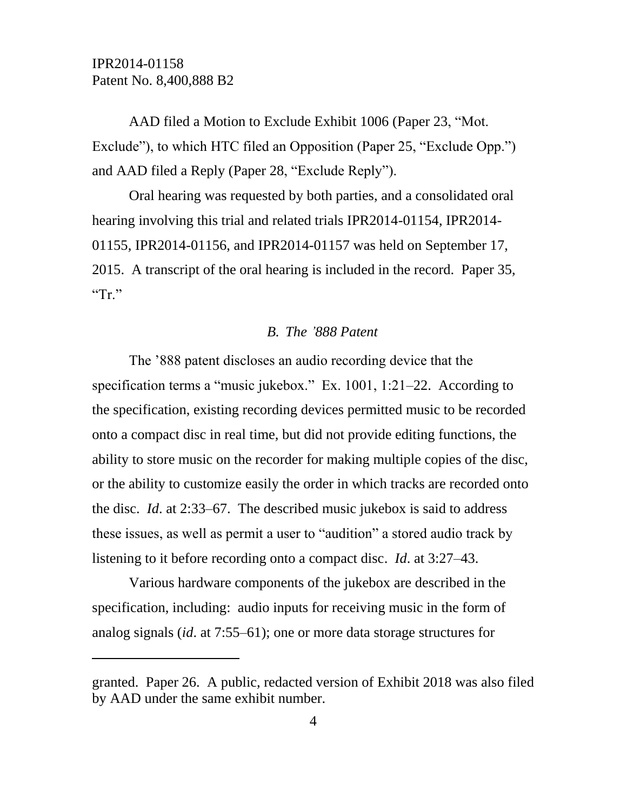l

AAD filed a Motion to Exclude Exhibit 1006 (Paper 23, "Mot. Exclude"), to which HTC filed an Opposition (Paper 25, "Exclude Opp.") and AAD filed a Reply (Paper 28, "Exclude Reply").

Oral hearing was requested by both parties, and a consolidated oral hearing involving this trial and related trials IPR2014-01154, IPR2014- 01155, IPR2014-01156, and IPR2014-01157 was held on September 17, 2015. A transcript of the oral hearing is included in the record. Paper 35, " $Tr$ "

### *B. The '888 Patent*

The '888 patent discloses an audio recording device that the specification terms a "music jukebox." Ex. 1001, 1:21–22. According to the specification, existing recording devices permitted music to be recorded onto a compact disc in real time, but did not provide editing functions, the ability to store music on the recorder for making multiple copies of the disc, or the ability to customize easily the order in which tracks are recorded onto the disc. *Id*. at 2:33–67. The described music jukebox is said to address these issues, as well as permit a user to "audition" a stored audio track by listening to it before recording onto a compact disc. *Id*. at 3:27–43.

Various hardware components of the jukebox are described in the specification, including: audio inputs for receiving music in the form of analog signals (*id*. at 7:55–61); one or more data storage structures for

granted. Paper 26. A public, redacted version of Exhibit 2018 was also filed by AAD under the same exhibit number.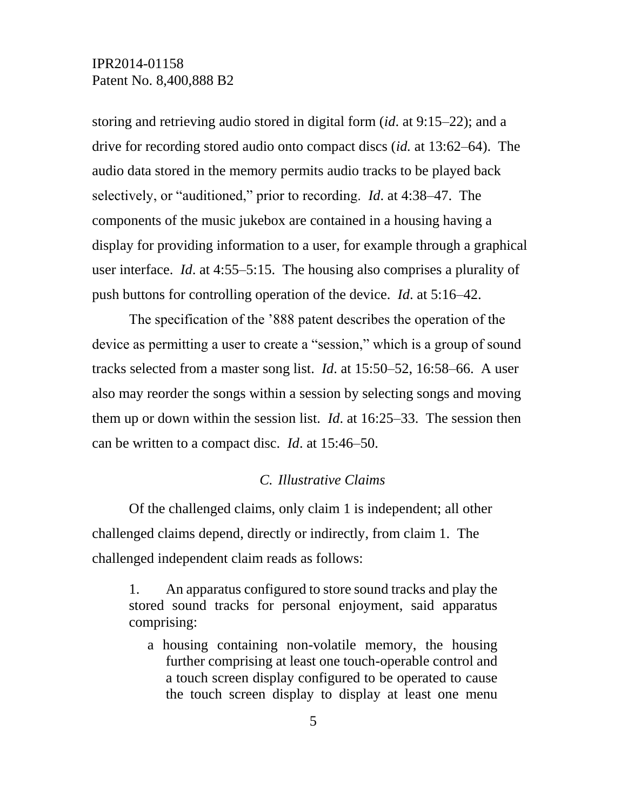storing and retrieving audio stored in digital form (*id*. at 9:15–22); and a drive for recording stored audio onto compact discs (*id.* at 13:62–64). The audio data stored in the memory permits audio tracks to be played back selectively, or "auditioned," prior to recording. *Id*. at 4:38–47. The components of the music jukebox are contained in a housing having a display for providing information to a user, for example through a graphical user interface. *Id*. at 4:55–5:15. The housing also comprises a plurality of push buttons for controlling operation of the device. *Id*. at 5:16–42.

The specification of the '888 patent describes the operation of the device as permitting a user to create a "session," which is a group of sound tracks selected from a master song list. *Id*. at 15:50–52, 16:58–66. A user also may reorder the songs within a session by selecting songs and moving them up or down within the session list. *Id*. at 16:25–33. The session then can be written to a compact disc. *Id*. at 15:46–50.

### *C. Illustrative Claims*

Of the challenged claims, only claim 1 is independent; all other challenged claims depend, directly or indirectly, from claim 1. The challenged independent claim reads as follows:

1. An apparatus configured to store sound tracks and play the stored sound tracks for personal enjoyment, said apparatus comprising:

a housing containing non-volatile memory, the housing further comprising at least one touch-operable control and a touch screen display configured to be operated to cause the touch screen display to display at least one menu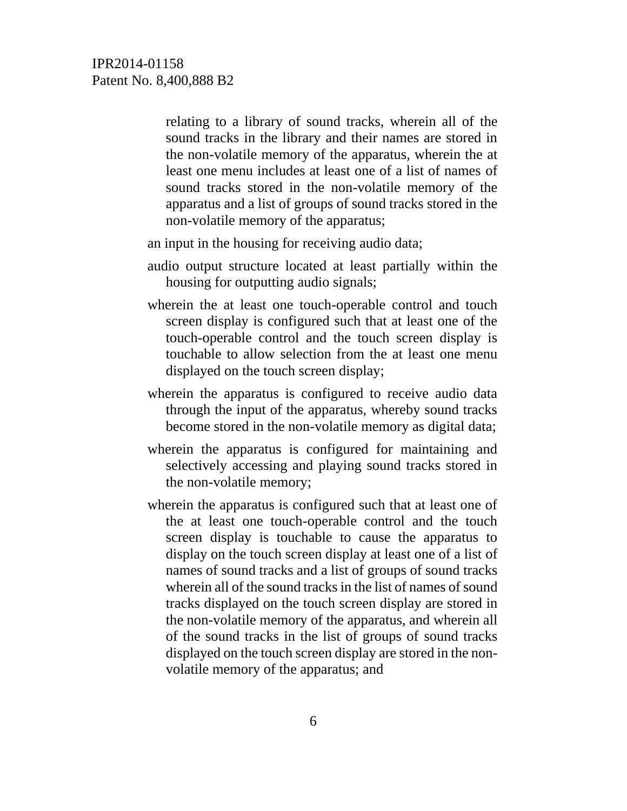relating to a library of sound tracks, wherein all of the sound tracks in the library and their names are stored in the non-volatile memory of the apparatus, wherein the at least one menu includes at least one of a list of names of sound tracks stored in the non-volatile memory of the apparatus and a list of groups of sound tracks stored in the non-volatile memory of the apparatus;

an input in the housing for receiving audio data;

- audio output structure located at least partially within the housing for outputting audio signals;
- wherein the at least one touch-operable control and touch screen display is configured such that at least one of the touch-operable control and the touch screen display is touchable to allow selection from the at least one menu displayed on the touch screen display;
- wherein the apparatus is configured to receive audio data through the input of the apparatus, whereby sound tracks become stored in the non-volatile memory as digital data;
- wherein the apparatus is configured for maintaining and selectively accessing and playing sound tracks stored in the non-volatile memory;
- wherein the apparatus is configured such that at least one of the at least one touch-operable control and the touch screen display is touchable to cause the apparatus to display on the touch screen display at least one of a list of names of sound tracks and a list of groups of sound tracks wherein all of the sound tracks in the list of names of sound tracks displayed on the touch screen display are stored in the non-volatile memory of the apparatus, and wherein all of the sound tracks in the list of groups of sound tracks displayed on the touch screen display are stored in the nonvolatile memory of the apparatus; and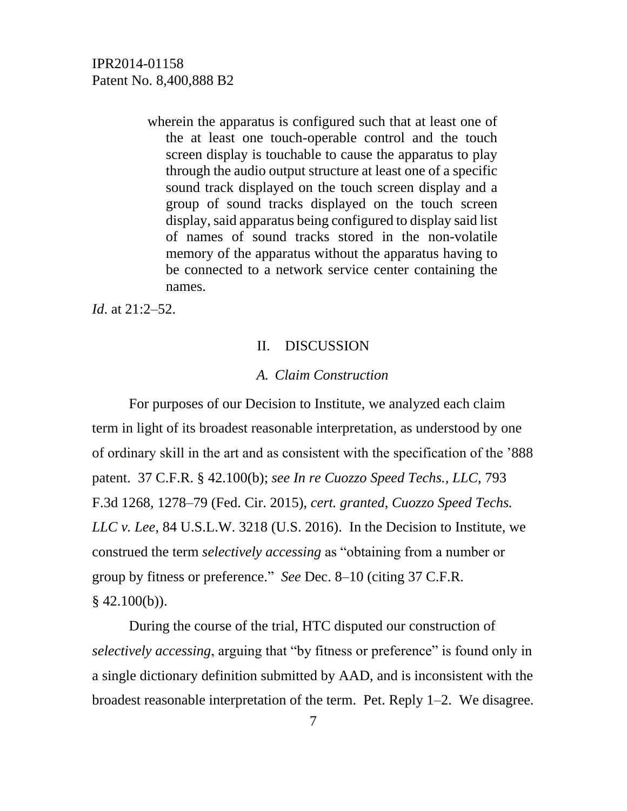wherein the apparatus is configured such that at least one of the at least one touch-operable control and the touch screen display is touchable to cause the apparatus to play through the audio output structure at least one of a specific sound track displayed on the touch screen display and a group of sound tracks displayed on the touch screen display, said apparatus being configured to display said list of names of sound tracks stored in the non-volatile memory of the apparatus without the apparatus having to be connected to a network service center containing the names.

*Id*. at 21:2–52.

#### II. DISCUSSION

### *A. Claim Construction*

For purposes of our Decision to Institute, we analyzed each claim term in light of its broadest reasonable interpretation, as understood by one of ordinary skill in the art and as consistent with the specification of the '888 patent. 37 C.F.R. § 42.100(b); *see In re Cuozzo Speed Techs., LLC*, 793 F.3d 1268, 1278–79 (Fed. Cir. 2015), *cert. granted*, *Cuozzo Speed Techs. LLC v. Lee*, 84 U.S.L.W. 3218 (U.S. 2016). In the Decision to Institute, we construed the term *selectively accessing* as "obtaining from a number or group by fitness or preference." *See* Dec. 8–10 (citing 37 C.F.R.  $§$  42.100(b)).

During the course of the trial, HTC disputed our construction of *selectively accessing*, arguing that "by fitness or preference" is found only in a single dictionary definition submitted by AAD, and is inconsistent with the broadest reasonable interpretation of the term. Pet. Reply 1–2. We disagree.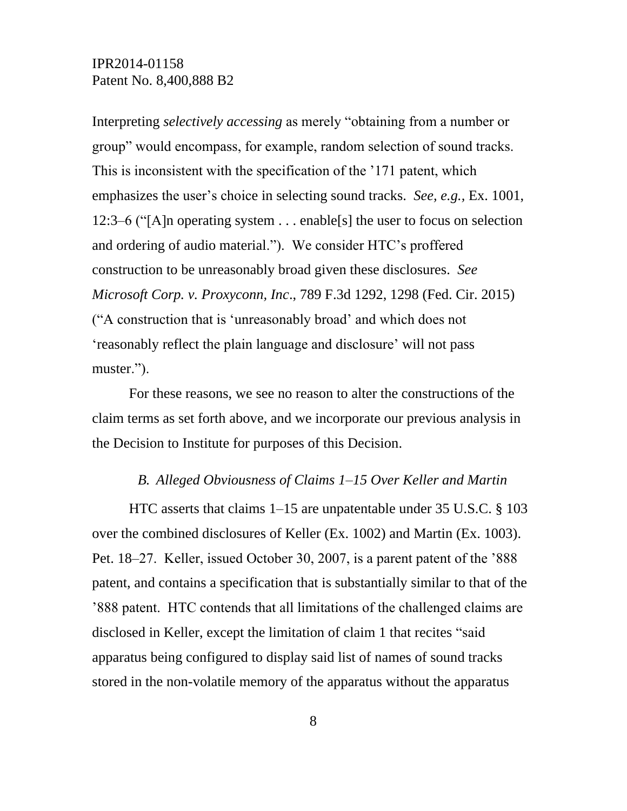Interpreting *selectively accessing* as merely "obtaining from a number or group" would encompass, for example, random selection of sound tracks. This is inconsistent with the specification of the '171 patent, which emphasizes the user's choice in selecting sound tracks. *See, e.g.,* Ex. 1001, 12:3–6 ("[A]n operating system . . . enable[s] the user to focus on selection and ordering of audio material."). We consider HTC's proffered construction to be unreasonably broad given these disclosures. *See Microsoft Corp. v. Proxyconn, Inc*., 789 F.3d 1292, 1298 (Fed. Cir. 2015) ("A construction that is 'unreasonably broad' and which does not 'reasonably reflect the plain language and disclosure' will not pass muster.").

For these reasons, we see no reason to alter the constructions of the claim terms as set forth above, and we incorporate our previous analysis in the Decision to Institute for purposes of this Decision.

#### *B. Alleged Obviousness of Claims 1–15 Over Keller and Martin*

HTC asserts that claims 1–15 are unpatentable under 35 U.S.C. § 103 over the combined disclosures of Keller (Ex. 1002) and Martin (Ex. 1003). Pet. 18–27. Keller, issued October 30, 2007, is a parent patent of the '888 patent, and contains a specification that is substantially similar to that of the '888 patent. HTC contends that all limitations of the challenged claims are disclosed in Keller, except the limitation of claim 1 that recites "said apparatus being configured to display said list of names of sound tracks stored in the non-volatile memory of the apparatus without the apparatus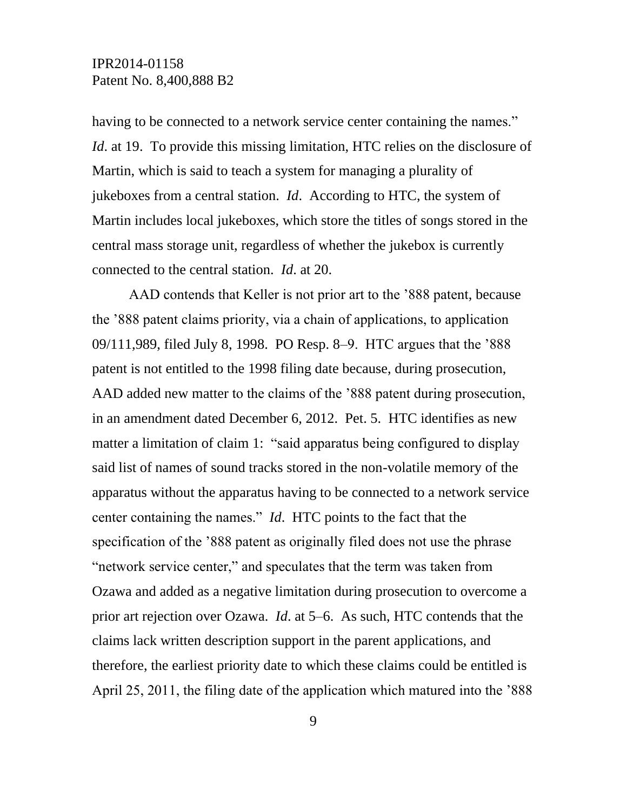having to be connected to a network service center containing the names." *Id.* at 19. To provide this missing limitation, HTC relies on the disclosure of Martin, which is said to teach a system for managing a plurality of jukeboxes from a central station. *Id*. According to HTC, the system of Martin includes local jukeboxes, which store the titles of songs stored in the central mass storage unit, regardless of whether the jukebox is currently connected to the central station. *Id*. at 20.

AAD contends that Keller is not prior art to the '888 patent, because the '888 patent claims priority, via a chain of applications, to application 09/111,989, filed July 8, 1998. PO Resp. 8–9. HTC argues that the '888 patent is not entitled to the 1998 filing date because, during prosecution, AAD added new matter to the claims of the '888 patent during prosecution, in an amendment dated December 6, 2012. Pet. 5. HTC identifies as new matter a limitation of claim 1: "said apparatus being configured to display said list of names of sound tracks stored in the non-volatile memory of the apparatus without the apparatus having to be connected to a network service center containing the names." *Id*. HTC points to the fact that the specification of the '888 patent as originally filed does not use the phrase "network service center," and speculates that the term was taken from Ozawa and added as a negative limitation during prosecution to overcome a prior art rejection over Ozawa. *Id*. at 5–6. As such, HTC contends that the claims lack written description support in the parent applications, and therefore, the earliest priority date to which these claims could be entitled is April 25, 2011, the filing date of the application which matured into the '888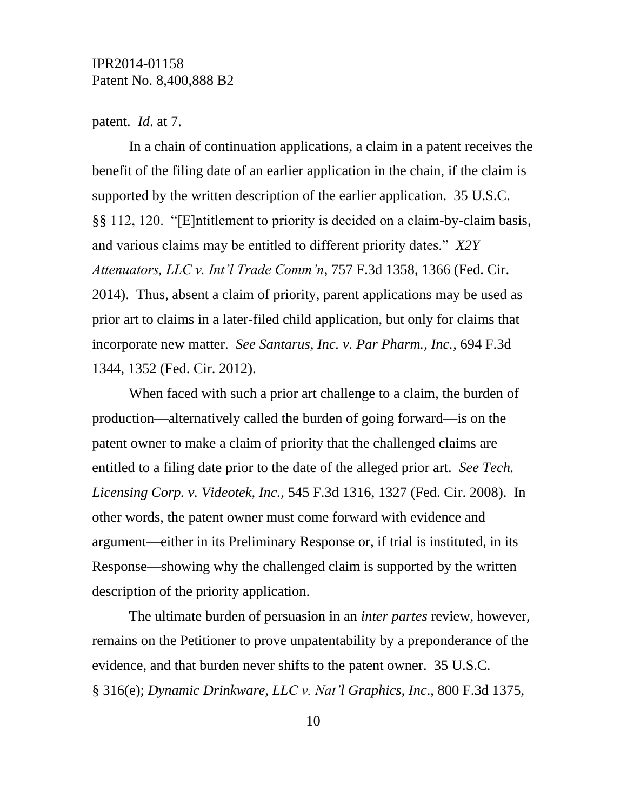#### patent. *Id*. at 7.

In a chain of continuation applications, a claim in a patent receives the benefit of the filing date of an earlier application in the chain, if the claim is supported by the written description of the earlier application. 35 U.S.C. §§ 112, 120. "[E]ntitlement to priority is decided on a claim-by-claim basis, and various claims may be entitled to different priority dates." *X2Y Attenuators, LLC v. Int'l Trade Comm'n*, 757 F.3d 1358, 1366 (Fed. Cir. 2014). Thus, absent a claim of priority, parent applications may be used as prior art to claims in a later-filed child application, but only for claims that incorporate new matter. *See Santarus, Inc. v. Par Pharm., Inc.*, 694 F.3d 1344, 1352 (Fed. Cir. 2012).

When faced with such a prior art challenge to a claim, the burden of production—alternatively called the burden of going forward—is on the patent owner to make a claim of priority that the challenged claims are entitled to a filing date prior to the date of the alleged prior art. *See Tech. Licensing Corp. v. Videotek, Inc.*, 545 F.3d 1316, 1327 (Fed. Cir. 2008). In other words, the patent owner must come forward with evidence and argument—either in its Preliminary Response or, if trial is instituted, in its Response—showing why the challenged claim is supported by the written description of the priority application.

The ultimate burden of persuasion in an *inter partes* review, however, remains on the Petitioner to prove unpatentability by a preponderance of the evidence, and that burden never shifts to the patent owner. 35 U.S.C. § 316(e); *Dynamic Drinkware, LLC v. Nat'l Graphics, Inc*., 800 F.3d 1375,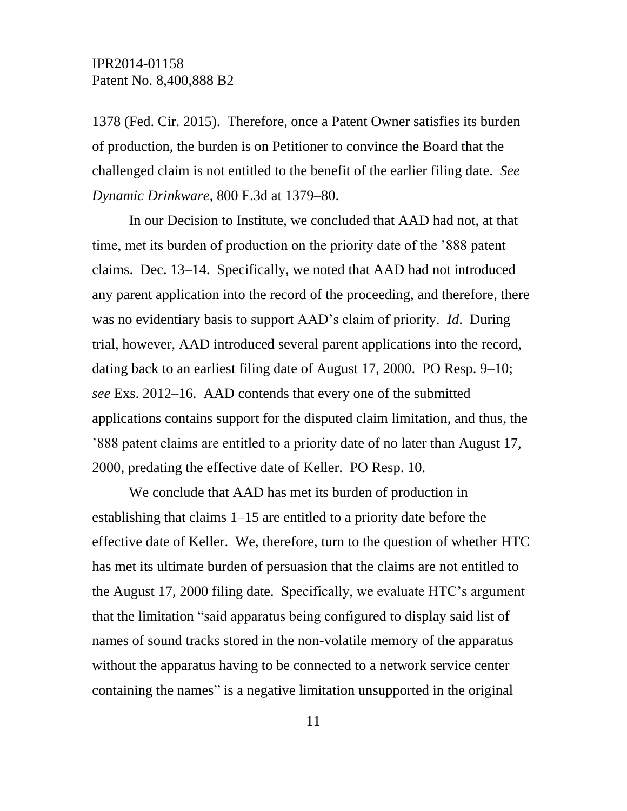1378 (Fed. Cir. 2015). Therefore, once a Patent Owner satisfies its burden of production, the burden is on Petitioner to convince the Board that the challenged claim is not entitled to the benefit of the earlier filing date. *See Dynamic Drinkware*, 800 F.3d at 1379–80.

In our Decision to Institute, we concluded that AAD had not, at that time, met its burden of production on the priority date of the '888 patent claims. Dec. 13–14. Specifically, we noted that AAD had not introduced any parent application into the record of the proceeding, and therefore, there was no evidentiary basis to support AAD's claim of priority. *Id*. During trial, however, AAD introduced several parent applications into the record, dating back to an earliest filing date of August 17, 2000. PO Resp. 9–10; *see* Exs. 2012–16. AAD contends that every one of the submitted applications contains support for the disputed claim limitation, and thus, the '888 patent claims are entitled to a priority date of no later than August 17, 2000, predating the effective date of Keller. PO Resp. 10.

We conclude that AAD has met its burden of production in establishing that claims 1–15 are entitled to a priority date before the effective date of Keller. We, therefore, turn to the question of whether HTC has met its ultimate burden of persuasion that the claims are not entitled to the August 17, 2000 filing date. Specifically, we evaluate HTC's argument that the limitation "said apparatus being configured to display said list of names of sound tracks stored in the non-volatile memory of the apparatus without the apparatus having to be connected to a network service center containing the names" is a negative limitation unsupported in the original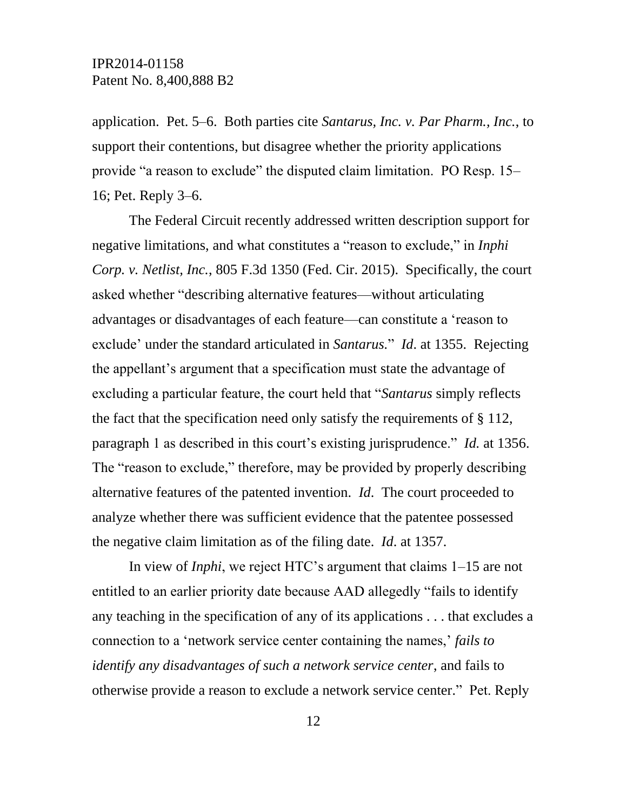application. Pet. 5–6. Both parties cite *Santarus, Inc. v. Par Pharm., Inc.*, to support their contentions, but disagree whether the priority applications provide "a reason to exclude" the disputed claim limitation. PO Resp. 15– 16; Pet. Reply 3–6.

The Federal Circuit recently addressed written description support for negative limitations, and what constitutes a "reason to exclude," in *Inphi Corp. v. Netlist, Inc.*, 805 F.3d 1350 (Fed. Cir. 2015). Specifically, the court asked whether "describing alternative features—without articulating advantages or disadvantages of each feature—can constitute a 'reason to exclude' under the standard articulated in *Santarus.*" *Id*. at 1355. Rejecting the appellant's argument that a specification must state the advantage of excluding a particular feature, the court held that "*Santarus* simply reflects the fact that the specification need only satisfy the requirements of § 112, paragraph 1 as described in this court's existing jurisprudence." *Id.* at 1356. The "reason to exclude," therefore, may be provided by properly describing alternative features of the patented invention. *Id*. The court proceeded to analyze whether there was sufficient evidence that the patentee possessed the negative claim limitation as of the filing date. *Id*. at 1357.

In view of *Inphi*, we reject HTC's argument that claims 1–15 are not entitled to an earlier priority date because AAD allegedly "fails to identify any teaching in the specification of any of its applications . . . that excludes a connection to a 'network service center containing the names,' *fails to identify any disadvantages of such a network service center*, and fails to otherwise provide a reason to exclude a network service center." Pet. Reply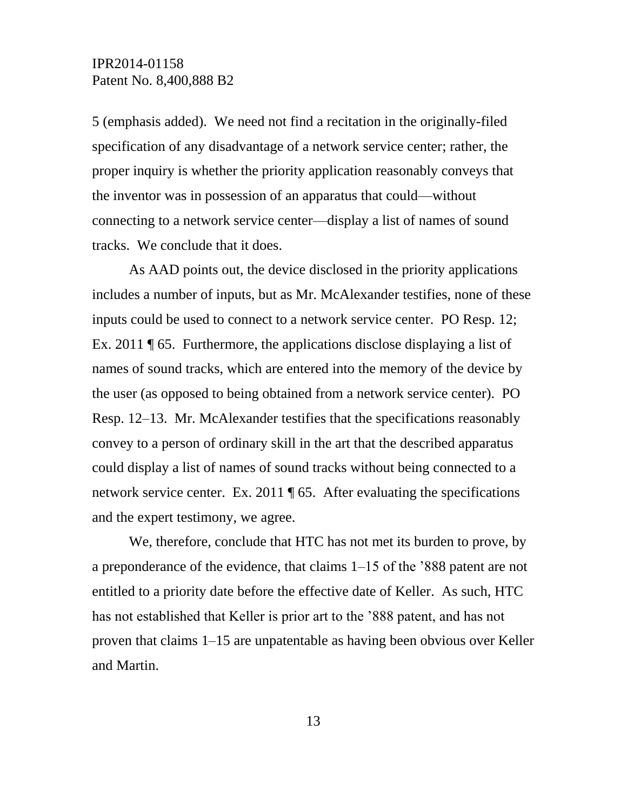5 (emphasis added). We need not find a recitation in the originally-filed specification of any disadvantage of a network service center; rather, the proper inquiry is whether the priority application reasonably conveys that the inventor was in possession of an apparatus that could—without connecting to a network service center—display a list of names of sound tracks. We conclude that it does.

As AAD points out, the device disclosed in the priority applications includes a number of inputs, but as Mr. McAlexander testifies, none of these inputs could be used to connect to a network service center. PO Resp. 12; Ex. 2011 ¶ 65. Furthermore, the applications disclose displaying a list of names of sound tracks, which are entered into the memory of the device by the user (as opposed to being obtained from a network service center). PO Resp. 12–13. Mr. McAlexander testifies that the specifications reasonably convey to a person of ordinary skill in the art that the described apparatus could display a list of names of sound tracks without being connected to a network service center. Ex. 2011 ¶ 65. After evaluating the specifications and the expert testimony, we agree.

We, therefore, conclude that HTC has not met its burden to prove, by a preponderance of the evidence, that claims 1–15 of the '888 patent are not entitled to a priority date before the effective date of Keller. As such, HTC has not established that Keller is prior art to the '888 patent, and has not proven that claims 1–15 are unpatentable as having been obvious over Keller and Martin.

13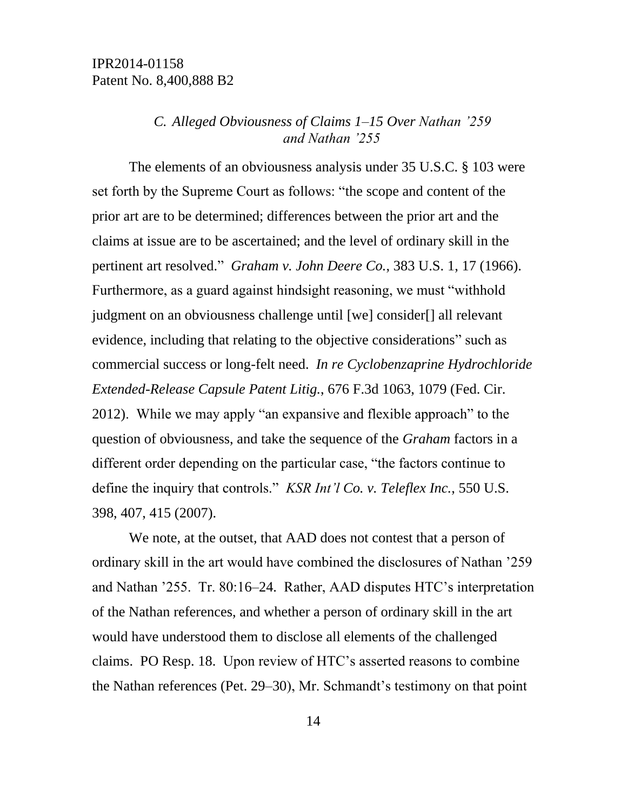### *C. Alleged Obviousness of Claims 1–15 Over Nathan '259 and Nathan '255*

The elements of an obviousness analysis under 35 U.S.C. § 103 were set forth by the Supreme Court as follows: "the scope and content of the prior art are to be determined; differences between the prior art and the claims at issue are to be ascertained; and the level of ordinary skill in the pertinent art resolved." *Graham v. John Deere Co.*, 383 U.S. 1, 17 (1966). Furthermore, as a guard against hindsight reasoning, we must "withhold judgment on an obviousness challenge until [we] consider[] all relevant evidence, including that relating to the objective considerations" such as commercial success or long-felt need. *In re Cyclobenzaprine Hydrochloride Extended-Release Capsule Patent Litig.*, 676 F.3d 1063, 1079 (Fed. Cir. 2012). While we may apply "an expansive and flexible approach" to the question of obviousness, and take the sequence of the *Graham* factors in a different order depending on the particular case, "the factors continue to define the inquiry that controls." *KSR Int'l Co. v. Teleflex Inc.*, 550 U.S. 398, 407, 415 (2007).

We note, at the outset, that AAD does not contest that a person of ordinary skill in the art would have combined the disclosures of Nathan '259 and Nathan '255. Tr. 80:16–24. Rather, AAD disputes HTC's interpretation of the Nathan references, and whether a person of ordinary skill in the art would have understood them to disclose all elements of the challenged claims. PO Resp. 18. Upon review of HTC's asserted reasons to combine the Nathan references (Pet. 29–30), Mr. Schmandt's testimony on that point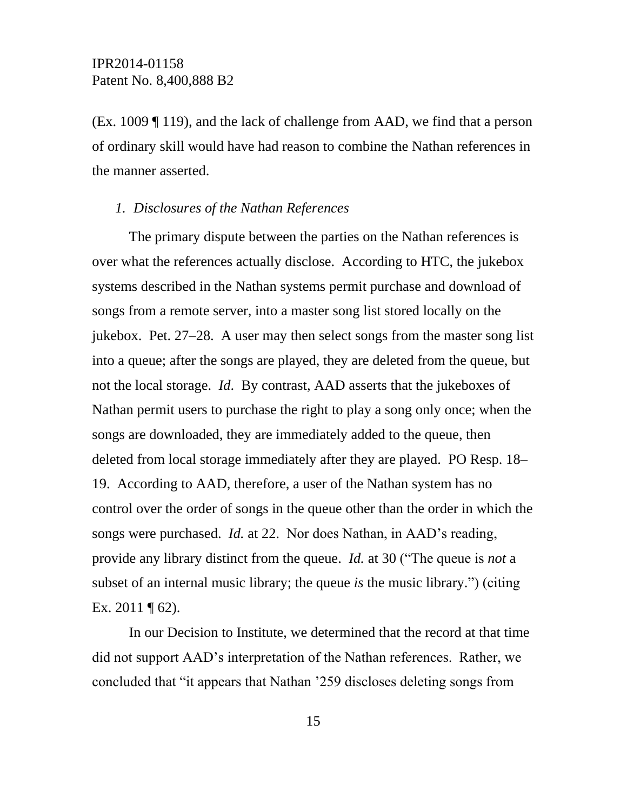(Ex. 1009 ¶ 119), and the lack of challenge from AAD, we find that a person of ordinary skill would have had reason to combine the Nathan references in the manner asserted.

#### *1. Disclosures of the Nathan References*

The primary dispute between the parties on the Nathan references is over what the references actually disclose. According to HTC, the jukebox systems described in the Nathan systems permit purchase and download of songs from a remote server, into a master song list stored locally on the jukebox. Pet. 27–28. A user may then select songs from the master song list into a queue; after the songs are played, they are deleted from the queue, but not the local storage. *Id*. By contrast, AAD asserts that the jukeboxes of Nathan permit users to purchase the right to play a song only once; when the songs are downloaded, they are immediately added to the queue, then deleted from local storage immediately after they are played. PO Resp. 18– 19. According to AAD, therefore, a user of the Nathan system has no control over the order of songs in the queue other than the order in which the songs were purchased. *Id.* at 22. Nor does Nathan, in AAD's reading, provide any library distinct from the queue. *Id.* at 30 ("The queue is *not* a subset of an internal music library; the queue *is* the music library.") (citing Ex. 2011  $\P$  62).

In our Decision to Institute, we determined that the record at that time did not support AAD's interpretation of the Nathan references. Rather, we concluded that "it appears that Nathan '259 discloses deleting songs from

15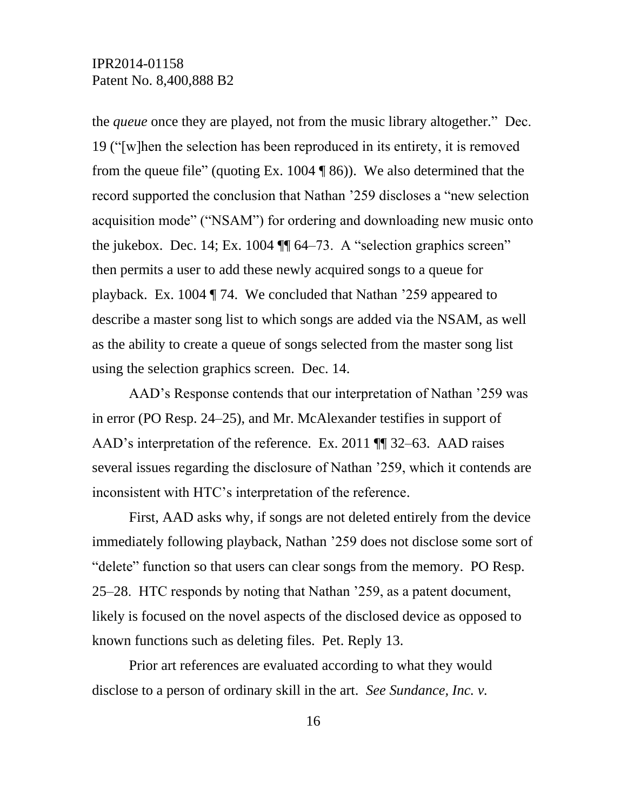the *queue* once they are played, not from the music library altogether." Dec. 19 ("[w]hen the selection has been reproduced in its entirety, it is removed from the queue file" (quoting Ex. 1004  $\sqrt{ }$  86)). We also determined that the record supported the conclusion that Nathan '259 discloses a "new selection acquisition mode" ("NSAM") for ordering and downloading new music onto the jukebox. Dec. 14; Ex. 1004 ¶¶ 64–73. A "selection graphics screen" then permits a user to add these newly acquired songs to a queue for playback. Ex. 1004 ¶ 74. We concluded that Nathan '259 appeared to describe a master song list to which songs are added via the NSAM, as well as the ability to create a queue of songs selected from the master song list using the selection graphics screen. Dec. 14.

AAD's Response contends that our interpretation of Nathan '259 was in error (PO Resp. 24–25), and Mr. McAlexander testifies in support of AAD's interpretation of the reference. Ex. 2011 ¶¶ 32–63. AAD raises several issues regarding the disclosure of Nathan '259, which it contends are inconsistent with HTC's interpretation of the reference.

First, AAD asks why, if songs are not deleted entirely from the device immediately following playback, Nathan '259 does not disclose some sort of "delete" function so that users can clear songs from the memory. PO Resp. 25–28. HTC responds by noting that Nathan '259, as a patent document, likely is focused on the novel aspects of the disclosed device as opposed to known functions such as deleting files. Pet. Reply 13.

Prior art references are evaluated according to what they would disclose to a person of ordinary skill in the art. *See Sundance, Inc. v.*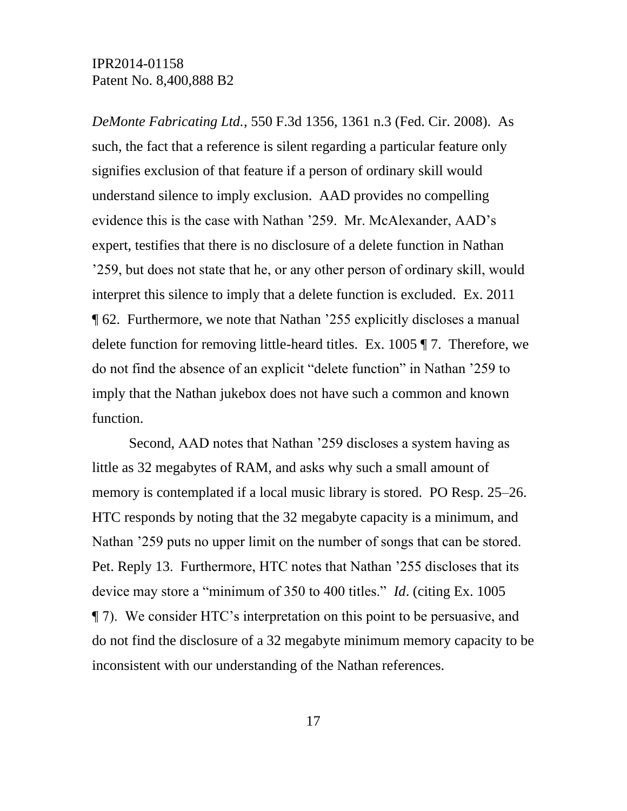*DeMonte Fabricating Ltd.*, 550 F.3d 1356, 1361 n.3 (Fed. Cir. 2008). As such, the fact that a reference is silent regarding a particular feature only signifies exclusion of that feature if a person of ordinary skill would understand silence to imply exclusion. AAD provides no compelling evidence this is the case with Nathan '259. Mr. McAlexander, AAD's expert, testifies that there is no disclosure of a delete function in Nathan '259, but does not state that he, or any other person of ordinary skill, would interpret this silence to imply that a delete function is excluded. Ex. 2011 ¶ 62. Furthermore, we note that Nathan '255 explicitly discloses a manual delete function for removing little-heard titles. Ex. 1005 ¶ 7. Therefore, we do not find the absence of an explicit "delete function" in Nathan '259 to imply that the Nathan jukebox does not have such a common and known function.

Second, AAD notes that Nathan '259 discloses a system having as little as 32 megabytes of RAM, and asks why such a small amount of memory is contemplated if a local music library is stored. PO Resp. 25–26. HTC responds by noting that the 32 megabyte capacity is a minimum, and Nathan '259 puts no upper limit on the number of songs that can be stored. Pet. Reply 13. Furthermore, HTC notes that Nathan '255 discloses that its device may store a "minimum of 350 to 400 titles." *Id*. (citing Ex. 1005 ¶ 7). We consider HTC's interpretation on this point to be persuasive, and do not find the disclosure of a 32 megabyte minimum memory capacity to be inconsistent with our understanding of the Nathan references.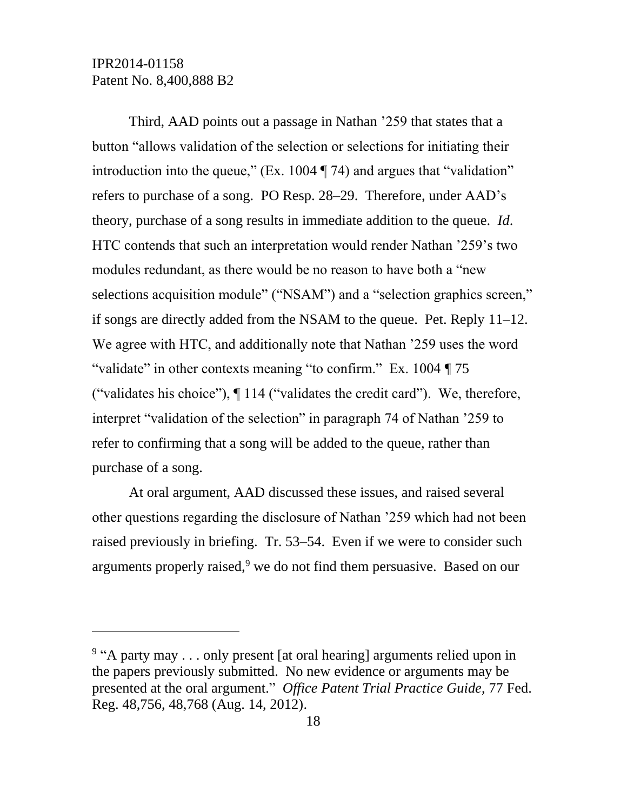$\overline{a}$ 

Third, AAD points out a passage in Nathan '259 that states that a button "allows validation of the selection or selections for initiating their introduction into the queue," (Ex. 1004 ¶ 74) and argues that "validation" refers to purchase of a song. PO Resp. 28–29. Therefore, under AAD's theory, purchase of a song results in immediate addition to the queue. *Id*. HTC contends that such an interpretation would render Nathan '259's two modules redundant, as there would be no reason to have both a "new selections acquisition module" ("NSAM") and a "selection graphics screen," if songs are directly added from the NSAM to the queue. Pet. Reply 11–12. We agree with HTC, and additionally note that Nathan '259 uses the word "validate" in other contexts meaning "to confirm." Ex. 1004 ¶ 75 ("validates his choice"), ¶ 114 ("validates the credit card"). We, therefore, interpret "validation of the selection" in paragraph 74 of Nathan '259 to refer to confirming that a song will be added to the queue, rather than purchase of a song.

At oral argument, AAD discussed these issues, and raised several other questions regarding the disclosure of Nathan '259 which had not been raised previously in briefing. Tr. 53–54. Even if we were to consider such arguments properly raised, $9$  we do not find them persuasive. Based on our

<sup>&</sup>lt;sup>9</sup> "A party may . . . only present [at oral hearing] arguments relied upon in the papers previously submitted. No new evidence or arguments may be presented at the oral argument." *Office Patent Trial Practice Guide*, 77 Fed. Reg. 48,756, 48,768 (Aug. 14, 2012).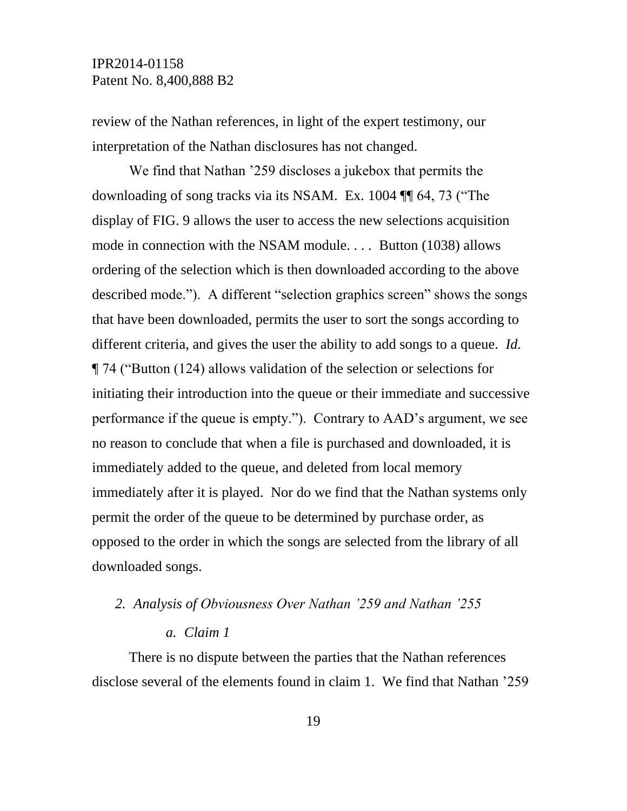review of the Nathan references, in light of the expert testimony, our interpretation of the Nathan disclosures has not changed.

We find that Nathan '259 discloses a jukebox that permits the downloading of song tracks via its NSAM. Ex. 1004 ¶¶ 64, 73 ("The display of FIG. 9 allows the user to access the new selections acquisition mode in connection with the NSAM module. . . . Button (1038) allows ordering of the selection which is then downloaded according to the above described mode."). A different "selection graphics screen" shows the songs that have been downloaded, permits the user to sort the songs according to different criteria, and gives the user the ability to add songs to a queue. *Id.* ¶ 74 ("Button (124) allows validation of the selection or selections for initiating their introduction into the queue or their immediate and successive performance if the queue is empty."). Contrary to AAD's argument, we see no reason to conclude that when a file is purchased and downloaded, it is immediately added to the queue, and deleted from local memory immediately after it is played. Nor do we find that the Nathan systems only permit the order of the queue to be determined by purchase order, as opposed to the order in which the songs are selected from the library of all downloaded songs.

### *2. Analysis of Obviousness Over Nathan '259 and Nathan '255*

#### *a. Claim 1*

There is no dispute between the parties that the Nathan references disclose several of the elements found in claim 1. We find that Nathan '259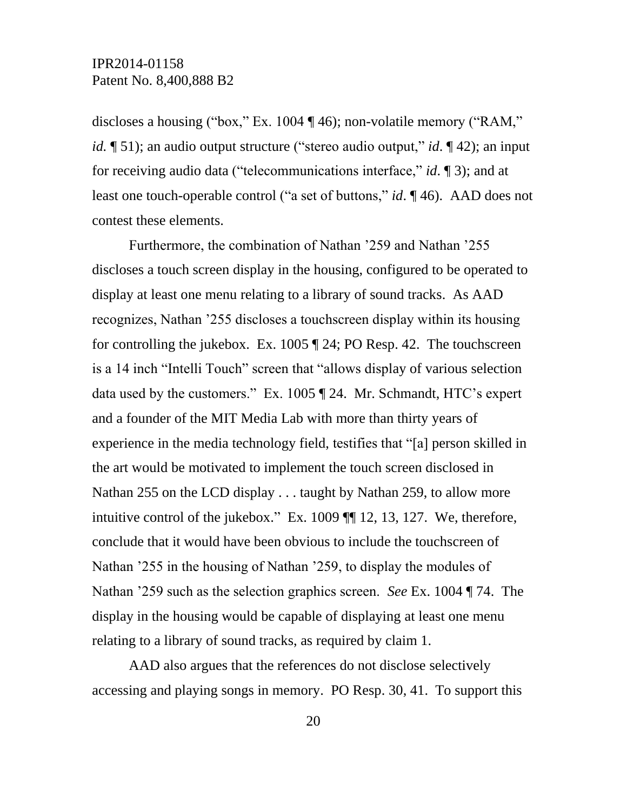discloses a housing ("box," Ex. 1004 ¶ 46); non-volatile memory ("RAM," *id.* ¶ 51); an audio output structure ("stereo audio output," *id*. ¶ 42); an input for receiving audio data ("telecommunications interface," *id*. ¶ 3); and at least one touch-operable control ("a set of buttons," *id*. ¶ 46). AAD does not contest these elements.

Furthermore, the combination of Nathan '259 and Nathan '255 discloses a touch screen display in the housing, configured to be operated to display at least one menu relating to a library of sound tracks. As AAD recognizes, Nathan '255 discloses a touchscreen display within its housing for controlling the jukebox. Ex. 1005 ¶ 24; PO Resp. 42. The touchscreen is a 14 inch "Intelli Touch" screen that "allows display of various selection data used by the customers." Ex. 1005 ¶ 24. Mr. Schmandt, HTC's expert and a founder of the MIT Media Lab with more than thirty years of experience in the media technology field, testifies that "[a] person skilled in the art would be motivated to implement the touch screen disclosed in Nathan 255 on the LCD display . . . taught by Nathan 259, to allow more intuitive control of the jukebox." Ex. 1009 ¶¶ 12, 13, 127. We, therefore, conclude that it would have been obvious to include the touchscreen of Nathan '255 in the housing of Nathan '259, to display the modules of Nathan '259 such as the selection graphics screen. *See* Ex. 1004 ¶ 74. The display in the housing would be capable of displaying at least one menu relating to a library of sound tracks, as required by claim 1.

AAD also argues that the references do not disclose selectively accessing and playing songs in memory. PO Resp. 30, 41. To support this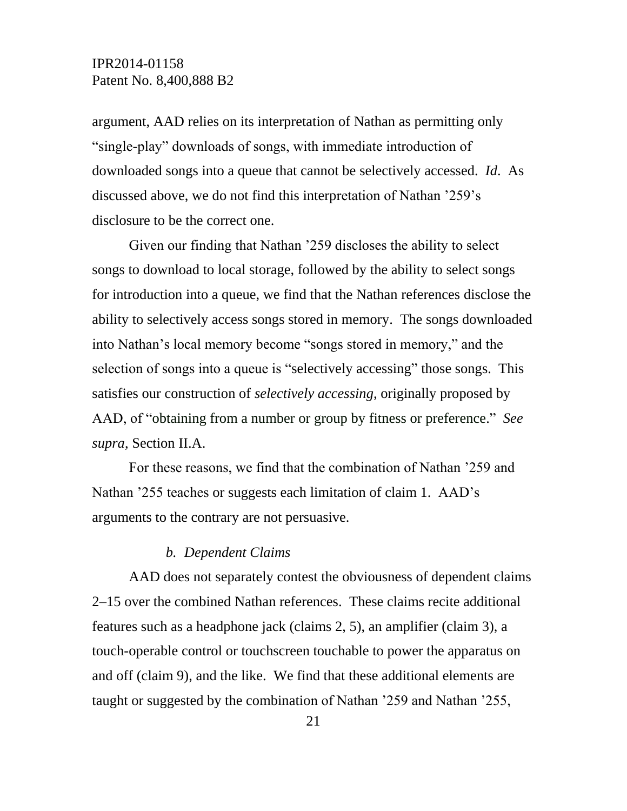argument, AAD relies on its interpretation of Nathan as permitting only "single-play" downloads of songs, with immediate introduction of downloaded songs into a queue that cannot be selectively accessed. *Id*. As discussed above, we do not find this interpretation of Nathan '259's disclosure to be the correct one.

Given our finding that Nathan '259 discloses the ability to select songs to download to local storage, followed by the ability to select songs for introduction into a queue, we find that the Nathan references disclose the ability to selectively access songs stored in memory. The songs downloaded into Nathan's local memory become "songs stored in memory," and the selection of songs into a queue is "selectively accessing" those songs. This satisfies our construction of *selectively accessing*, originally proposed by AAD, of "obtaining from a number or group by fitness or preference." *See supra*, Section II.A.

For these reasons, we find that the combination of Nathan '259 and Nathan '255 teaches or suggests each limitation of claim 1. AAD's arguments to the contrary are not persuasive.

### *b. Dependent Claims*

AAD does not separately contest the obviousness of dependent claims 2–15 over the combined Nathan references. These claims recite additional features such as a headphone jack (claims 2, 5), an amplifier (claim 3), a touch-operable control or touchscreen touchable to power the apparatus on and off (claim 9), and the like. We find that these additional elements are taught or suggested by the combination of Nathan '259 and Nathan '255,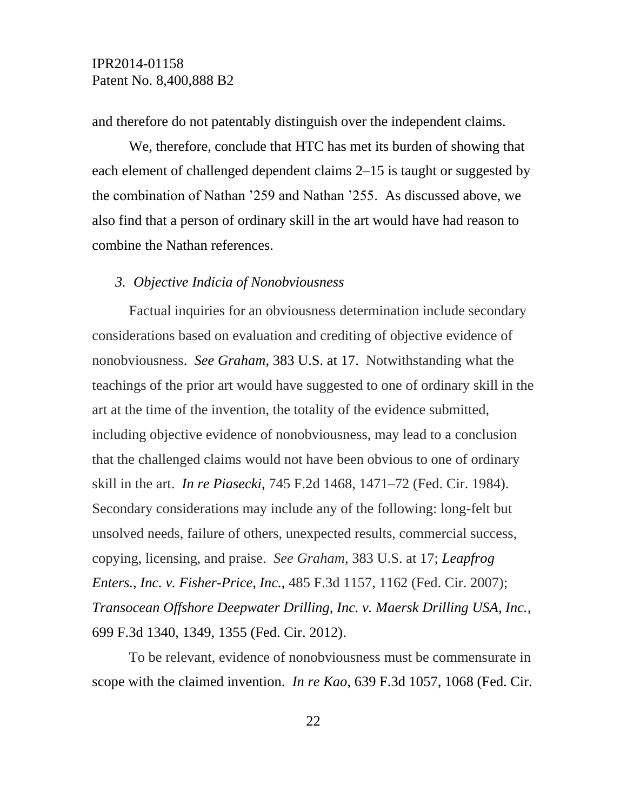and therefore do not patentably distinguish over the independent claims.

We, therefore, conclude that HTC has met its burden of showing that each element of challenged dependent claims 2–15 is taught or suggested by the combination of Nathan '259 and Nathan '255. As discussed above, we also find that a person of ordinary skill in the art would have had reason to combine the Nathan references.

### *3. Objective Indicia of Nonobviousness*

Factual inquiries for an obviousness determination include secondary considerations based on evaluation and crediting of objective evidence of nonobviousness. *See Graham*, 383 U.S. at 17. Notwithstanding what the teachings of the prior art would have suggested to one of ordinary skill in the art at the time of the invention, the totality of the evidence submitted, including objective evidence of nonobviousness, may lead to a conclusion that the challenged claims would not have been obvious to one of ordinary skill in the art. *In re Piasecki*, 745 F.2d 1468, 1471–72 (Fed. Cir. 1984). Secondary considerations may include any of the following: long-felt but unsolved needs, failure of others, unexpected results, commercial success, copying, licensing, and praise. *See Graham*, 383 U.S. at 17; *Leapfrog Enters., Inc. v. Fisher-Price, Inc.*, 485 F.3d 1157, 1162 (Fed. Cir. 2007); *Transocean Offshore Deepwater Drilling, Inc. v. Maersk Drilling USA, Inc.*, 699 F.3d 1340, 1349, 1355 (Fed. Cir. 2012).

To be relevant, evidence of nonobviousness must be commensurate in scope with the claimed invention. *In re Kao*, 639 F.3d 1057, 1068 (Fed. Cir.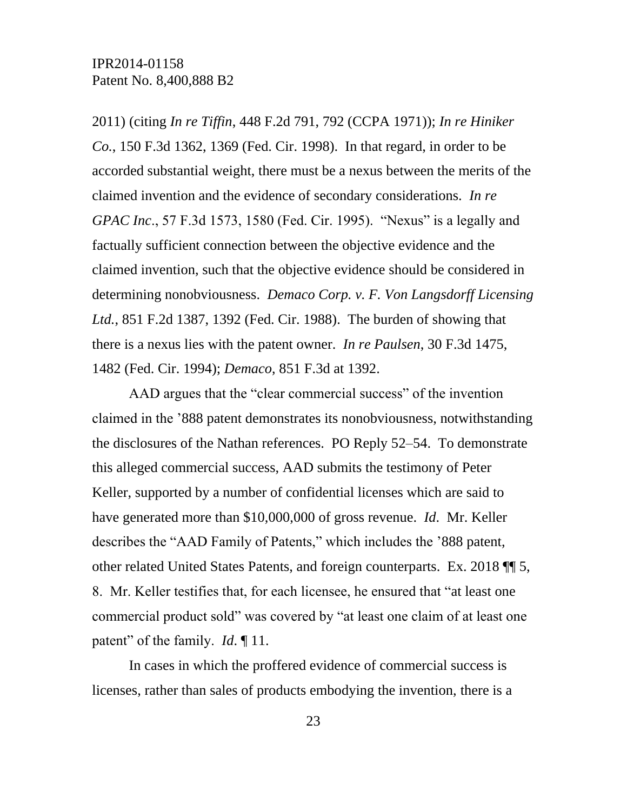2011) (citing *In re Tiffin*, 448 F.2d 791, 792 (CCPA 1971)); *In re Hiniker Co.*, 150 F.3d 1362, 1369 (Fed. Cir. 1998). In that regard, in order to be accorded substantial weight, there must be a nexus between the merits of the claimed invention and the evidence of secondary considerations. *In re GPAC Inc*., 57 F.3d 1573, 1580 (Fed. Cir. 1995). "Nexus" is a legally and factually sufficient connection between the objective evidence and the claimed invention, such that the objective evidence should be considered in determining nonobviousness. *Demaco Corp. v. F. Von Langsdorff Licensing Ltd.*, 851 F.2d 1387, 1392 (Fed. Cir. 1988). The burden of showing that there is a nexus lies with the patent owner. *In re Paulsen*, 30 F.3d 1475, 1482 (Fed. Cir. 1994); *Demaco*, 851 F.3d at 1392.

AAD argues that the "clear commercial success" of the invention claimed in the '888 patent demonstrates its nonobviousness, notwithstanding the disclosures of the Nathan references. PO Reply 52–54. To demonstrate this alleged commercial success, AAD submits the testimony of Peter Keller, supported by a number of confidential licenses which are said to have generated more than \$10,000,000 of gross revenue. *Id*. Mr. Keller describes the "AAD Family of Patents," which includes the '888 patent, other related United States Patents, and foreign counterparts. Ex. 2018 ¶¶ 5, 8. Mr. Keller testifies that, for each licensee, he ensured that "at least one commercial product sold" was covered by "at least one claim of at least one patent" of the family. *Id*. ¶ 11.

In cases in which the proffered evidence of commercial success is licenses, rather than sales of products embodying the invention, there is a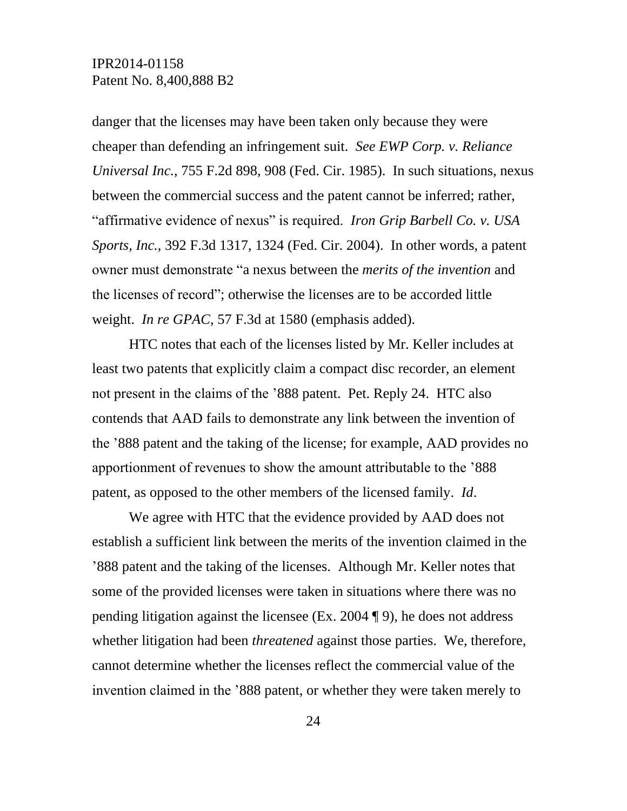danger that the licenses may have been taken only because they were cheaper than defending an infringement suit. *See EWP Corp. v. Reliance Universal Inc.*, 755 F.2d 898, 908 (Fed. Cir. 1985). In such situations, nexus between the commercial success and the patent cannot be inferred; rather, "affirmative evidence of nexus" is required. *Iron Grip Barbell Co. v. USA Sports, Inc.*, 392 F.3d 1317, 1324 (Fed. Cir. 2004). In other words, a patent owner must demonstrate "a nexus between the *merits of the invention* and the licenses of record"; otherwise the licenses are to be accorded little weight. *In re GPAC*, 57 F.3d at 1580 (emphasis added).

HTC notes that each of the licenses listed by Mr. Keller includes at least two patents that explicitly claim a compact disc recorder, an element not present in the claims of the '888 patent. Pet. Reply 24. HTC also contends that AAD fails to demonstrate any link between the invention of the '888 patent and the taking of the license; for example, AAD provides no apportionment of revenues to show the amount attributable to the '888 patent, as opposed to the other members of the licensed family. *Id*.

We agree with HTC that the evidence provided by AAD does not establish a sufficient link between the merits of the invention claimed in the '888 patent and the taking of the licenses. Although Mr. Keller notes that some of the provided licenses were taken in situations where there was no pending litigation against the licensee (Ex. 2004 ¶ 9), he does not address whether litigation had been *threatened* against those parties. We, therefore, cannot determine whether the licenses reflect the commercial value of the invention claimed in the '888 patent, or whether they were taken merely to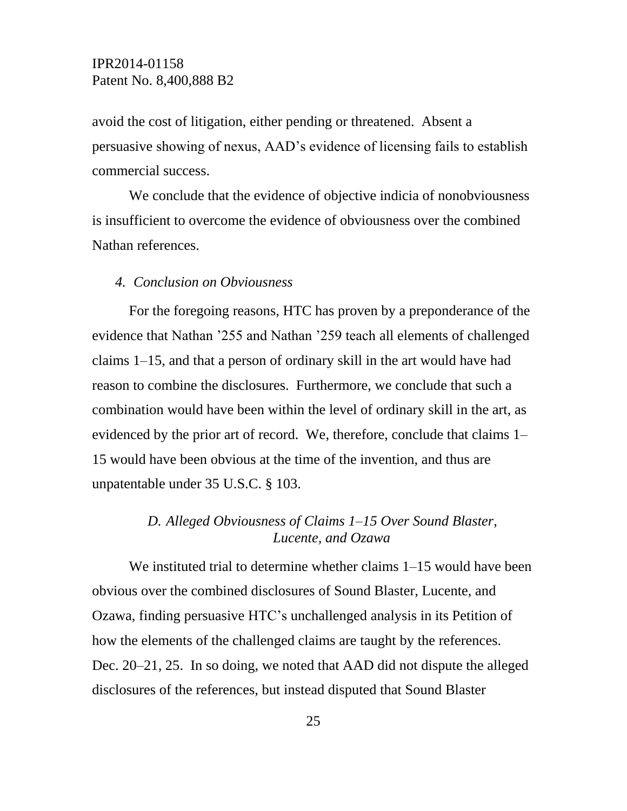avoid the cost of litigation, either pending or threatened. Absent a persuasive showing of nexus, AAD's evidence of licensing fails to establish commercial success.

We conclude that the evidence of objective indicia of nonobviousness is insufficient to overcome the evidence of obviousness over the combined Nathan references.

#### *4. Conclusion on Obviousness*

For the foregoing reasons, HTC has proven by a preponderance of the evidence that Nathan '255 and Nathan '259 teach all elements of challenged claims 1–15, and that a person of ordinary skill in the art would have had reason to combine the disclosures. Furthermore, we conclude that such a combination would have been within the level of ordinary skill in the art, as evidenced by the prior art of record. We, therefore, conclude that claims 1– 15 would have been obvious at the time of the invention, and thus are unpatentable under 35 U.S.C. § 103.

# *D. Alleged Obviousness of Claims 1–15 Over Sound Blaster, Lucente, and Ozawa*

We instituted trial to determine whether claims 1–15 would have been obvious over the combined disclosures of Sound Blaster, Lucente, and Ozawa, finding persuasive HTC's unchallenged analysis in its Petition of how the elements of the challenged claims are taught by the references. Dec. 20–21, 25. In so doing, we noted that AAD did not dispute the alleged disclosures of the references, but instead disputed that Sound Blaster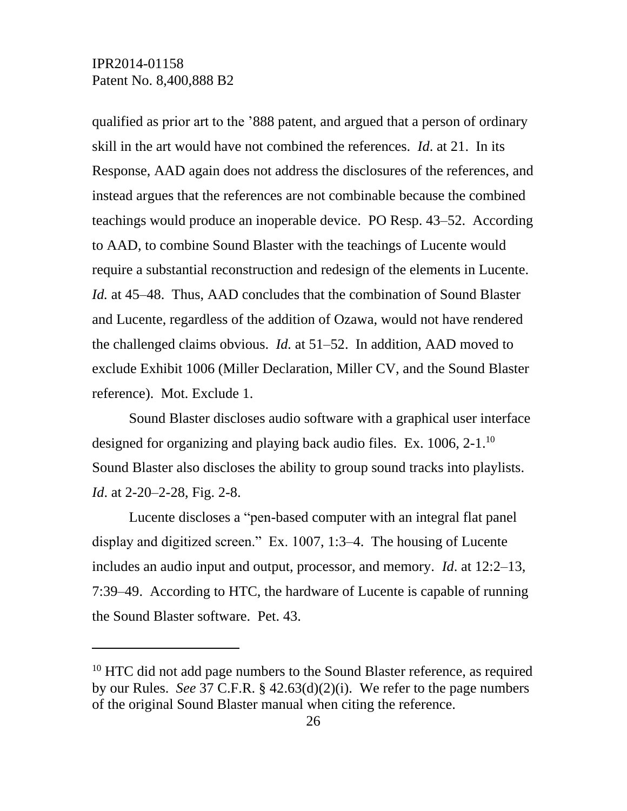l

qualified as prior art to the '888 patent, and argued that a person of ordinary skill in the art would have not combined the references. *Id*. at 21. In its Response, AAD again does not address the disclosures of the references, and instead argues that the references are not combinable because the combined teachings would produce an inoperable device. PO Resp. 43–52. According to AAD, to combine Sound Blaster with the teachings of Lucente would require a substantial reconstruction and redesign of the elements in Lucente. *Id.* at 45–48. Thus, AAD concludes that the combination of Sound Blaster and Lucente, regardless of the addition of Ozawa, would not have rendered the challenged claims obvious. *Id.* at 51–52. In addition, AAD moved to exclude Exhibit 1006 (Miller Declaration, Miller CV, and the Sound Blaster reference).Mot. Exclude 1.

Sound Blaster discloses audio software with a graphical user interface designed for organizing and playing back audio files. Ex. 1006, 2-1.<sup>10</sup> Sound Blaster also discloses the ability to group sound tracks into playlists. *Id.* at 2-20–2-28, Fig. 2-8.

Lucente discloses a "pen-based computer with an integral flat panel display and digitized screen." Ex. 1007, 1:3–4. The housing of Lucente includes an audio input and output, processor, and memory. *Id*. at 12:2–13, 7:39–49. According to HTC, the hardware of Lucente is capable of running the Sound Blaster software. Pet. 43.

<sup>&</sup>lt;sup>10</sup> HTC did not add page numbers to the Sound Blaster reference, as required by our Rules. *See* 37 C.F.R. § 42.63(d)(2)(i). We refer to the page numbers of the original Sound Blaster manual when citing the reference.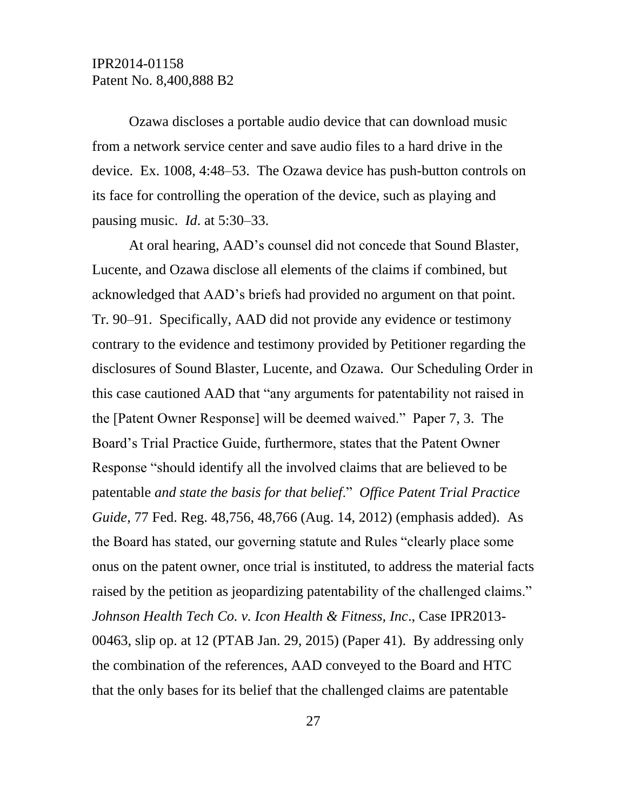Ozawa discloses a portable audio device that can download music from a network service center and save audio files to a hard drive in the device. Ex. 1008, 4:48–53. The Ozawa device has push-button controls on its face for controlling the operation of the device, such as playing and pausing music. *Id*. at 5:30–33.

At oral hearing, AAD's counsel did not concede that Sound Blaster, Lucente, and Ozawa disclose all elements of the claims if combined, but acknowledged that AAD's briefs had provided no argument on that point. Tr. 90–91. Specifically, AAD did not provide any evidence or testimony contrary to the evidence and testimony provided by Petitioner regarding the disclosures of Sound Blaster, Lucente, and Ozawa. Our Scheduling Order in this case cautioned AAD that "any arguments for patentability not raised in the [Patent Owner Response] will be deemed waived." Paper 7, 3. The Board's Trial Practice Guide, furthermore, states that the Patent Owner Response "should identify all the involved claims that are believed to be patentable *and state the basis for that belief*." *Office Patent Trial Practice Guide*, 77 Fed. Reg. 48,756, 48,766 (Aug. 14, 2012) (emphasis added). As the Board has stated, our governing statute and Rules "clearly place some onus on the patent owner, once trial is instituted, to address the material facts raised by the petition as jeopardizing patentability of the challenged claims." *Johnson Health Tech Co. v. Icon Health & Fitness, Inc*., Case IPR2013- 00463, slip op. at 12 (PTAB Jan. 29, 2015) (Paper 41). By addressing only the combination of the references, AAD conveyed to the Board and HTC that the only bases for its belief that the challenged claims are patentable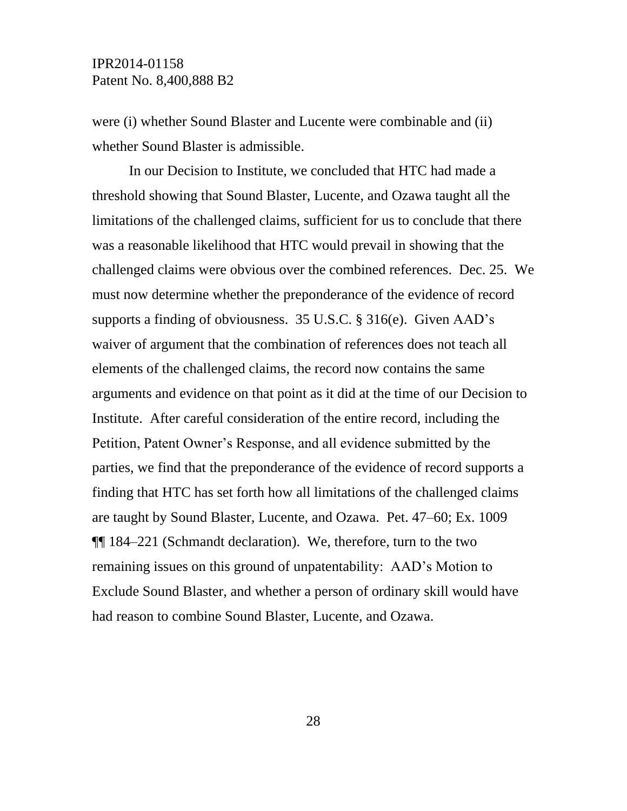were (i) whether Sound Blaster and Lucente were combinable and (ii) whether Sound Blaster is admissible.

In our Decision to Institute, we concluded that HTC had made a threshold showing that Sound Blaster, Lucente, and Ozawa taught all the limitations of the challenged claims, sufficient for us to conclude that there was a reasonable likelihood that HTC would prevail in showing that the challenged claims were obvious over the combined references. Dec. 25. We must now determine whether the preponderance of the evidence of record supports a finding of obviousness. 35 U.S.C. § 316(e). Given AAD's waiver of argument that the combination of references does not teach all elements of the challenged claims, the record now contains the same arguments and evidence on that point as it did at the time of our Decision to Institute. After careful consideration of the entire record, including the Petition, Patent Owner's Response, and all evidence submitted by the parties, we find that the preponderance of the evidence of record supports a finding that HTC has set forth how all limitations of the challenged claims are taught by Sound Blaster, Lucente, and Ozawa. Pet. 47–60; Ex. 1009 ¶¶ 184–221 (Schmandt declaration). We, therefore, turn to the two remaining issues on this ground of unpatentability: AAD's Motion to Exclude Sound Blaster, and whether a person of ordinary skill would have had reason to combine Sound Blaster, Lucente, and Ozawa.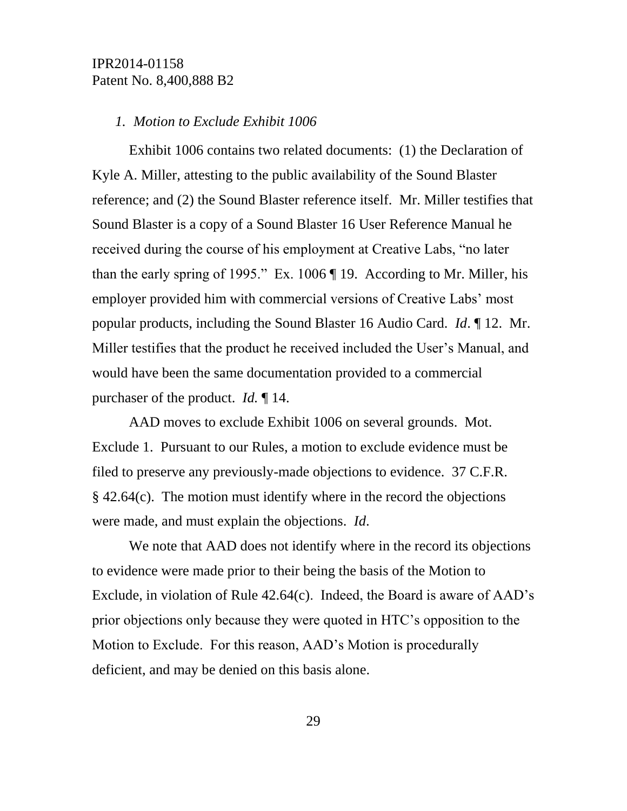#### *1. Motion to Exclude Exhibit 1006*

Exhibit 1006 contains two related documents: (1) the Declaration of Kyle A. Miller, attesting to the public availability of the Sound Blaster reference; and (2) the Sound Blaster reference itself. Mr. Miller testifies that Sound Blaster is a copy of a Sound Blaster 16 User Reference Manual he received during the course of his employment at Creative Labs, "no later than the early spring of 1995." Ex. 1006 ¶ 19. According to Mr. Miller, his employer provided him with commercial versions of Creative Labs' most popular products, including the Sound Blaster 16 Audio Card. *Id*. ¶ 12. Mr. Miller testifies that the product he received included the User's Manual, and would have been the same documentation provided to a commercial purchaser of the product. *Id.* ¶ 14.

AAD moves to exclude Exhibit 1006 on several grounds. Mot. Exclude 1. Pursuant to our Rules, a motion to exclude evidence must be filed to preserve any previously-made objections to evidence. 37 C.F.R. § 42.64(c). The motion must identify where in the record the objections were made, and must explain the objections. *Id*.

We note that AAD does not identify where in the record its objections to evidence were made prior to their being the basis of the Motion to Exclude, in violation of Rule 42.64(c). Indeed, the Board is aware of AAD's prior objections only because they were quoted in HTC's opposition to the Motion to Exclude. For this reason, AAD's Motion is procedurally deficient, and may be denied on this basis alone.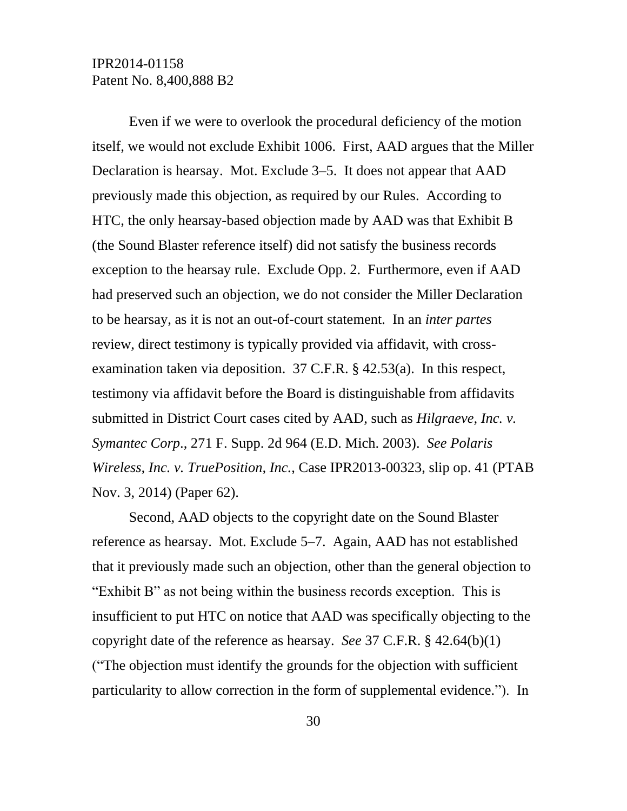Even if we were to overlook the procedural deficiency of the motion itself, we would not exclude Exhibit 1006. First, AAD argues that the Miller Declaration is hearsay. Mot. Exclude 3–5. It does not appear that AAD previously made this objection, as required by our Rules. According to HTC, the only hearsay-based objection made by AAD was that Exhibit B (the Sound Blaster reference itself) did not satisfy the business records exception to the hearsay rule. Exclude Opp. 2. Furthermore, even if AAD had preserved such an objection, we do not consider the Miller Declaration to be hearsay, as it is not an out-of-court statement. In an *inter partes* review, direct testimony is typically provided via affidavit, with crossexamination taken via deposition. 37 C.F.R. § 42.53(a). In this respect, testimony via affidavit before the Board is distinguishable from affidavits submitted in District Court cases cited by AAD, such as *Hilgraeve, Inc. v. Symantec Corp*., 271 F. Supp. 2d 964 (E.D. Mich. 2003). *See Polaris Wireless, Inc. v. TruePosition, Inc.*, Case IPR2013-00323, slip op. 41 (PTAB Nov. 3, 2014) (Paper 62).

Second, AAD objects to the copyright date on the Sound Blaster reference as hearsay. Mot. Exclude 5–7. Again, AAD has not established that it previously made such an objection, other than the general objection to "Exhibit B" as not being within the business records exception. This is insufficient to put HTC on notice that AAD was specifically objecting to the copyright date of the reference as hearsay. *See* 37 C.F.R. § 42.64(b)(1) ("The objection must identify the grounds for the objection with sufficient particularity to allow correction in the form of supplemental evidence."). In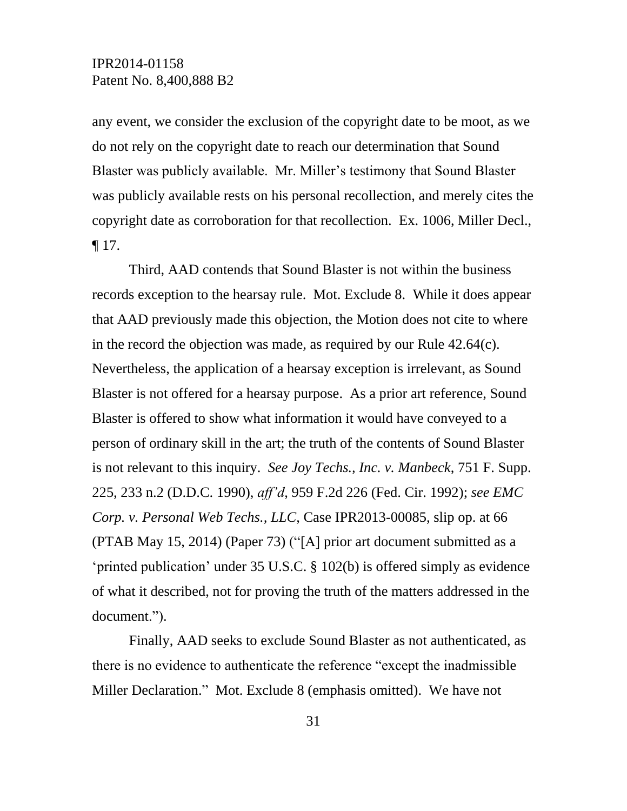any event, we consider the exclusion of the copyright date to be moot, as we do not rely on the copyright date to reach our determination that Sound Blaster was publicly available. Mr. Miller's testimony that Sound Blaster was publicly available rests on his personal recollection, and merely cites the copyright date as corroboration for that recollection. Ex. 1006, Miller Decl.,  $\P$  17.

Third, AAD contends that Sound Blaster is not within the business records exception to the hearsay rule. Mot. Exclude 8. While it does appear that AAD previously made this objection, the Motion does not cite to where in the record the objection was made, as required by our Rule 42.64(c). Nevertheless, the application of a hearsay exception is irrelevant, as Sound Blaster is not offered for a hearsay purpose. As a prior art reference, Sound Blaster is offered to show what information it would have conveyed to a person of ordinary skill in the art; the truth of the contents of Sound Blaster is not relevant to this inquiry. *See Joy Techs., Inc. v. Manbeck*, 751 F. Supp. 225, 233 n.2 (D.D.C. 1990), *aff'd*, 959 F.2d 226 (Fed. Cir. 1992); *see EMC Corp. v. Personal Web Techs., LLC*, Case IPR2013-00085, slip op. at 66 (PTAB May 15, 2014) (Paper 73) ("[A] prior art document submitted as a 'printed publication' under 35 U.S.C. § 102(b) is offered simply as evidence of what it described, not for proving the truth of the matters addressed in the document.").

Finally, AAD seeks to exclude Sound Blaster as not authenticated, as there is no evidence to authenticate the reference "except the inadmissible Miller Declaration." Mot. Exclude 8 (emphasis omitted). We have not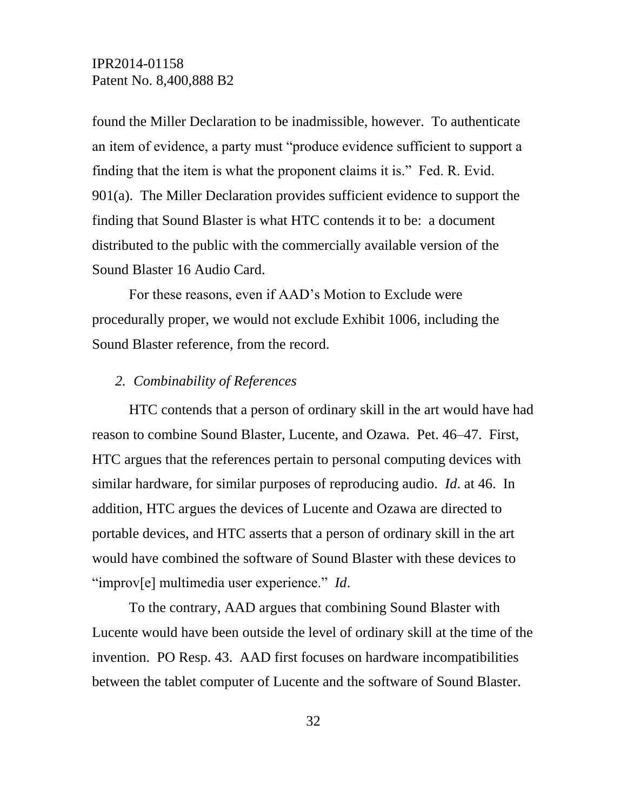found the Miller Declaration to be inadmissible, however. To authenticate an item of evidence, a party must "produce evidence sufficient to support a finding that the item is what the proponent claims it is." Fed. R. Evid. 901(a). The Miller Declaration provides sufficient evidence to support the finding that Sound Blaster is what HTC contends it to be: a document distributed to the public with the commercially available version of the Sound Blaster 16 Audio Card.

For these reasons, even if AAD's Motion to Exclude were procedurally proper, we would not exclude Exhibit 1006, including the Sound Blaster reference, from the record.

#### *2. Combinability of References*

HTC contends that a person of ordinary skill in the art would have had reason to combine Sound Blaster, Lucente, and Ozawa. Pet. 46–47. First, HTC argues that the references pertain to personal computing devices with similar hardware, for similar purposes of reproducing audio. *Id*. at 46. In addition, HTC argues the devices of Lucente and Ozawa are directed to portable devices, and HTC asserts that a person of ordinary skill in the art would have combined the software of Sound Blaster with these devices to "improv[e] multimedia user experience." *Id*.

To the contrary, AAD argues that combining Sound Blaster with Lucente would have been outside the level of ordinary skill at the time of the invention. PO Resp. 43. AAD first focuses on hardware incompatibilities between the tablet computer of Lucente and the software of Sound Blaster.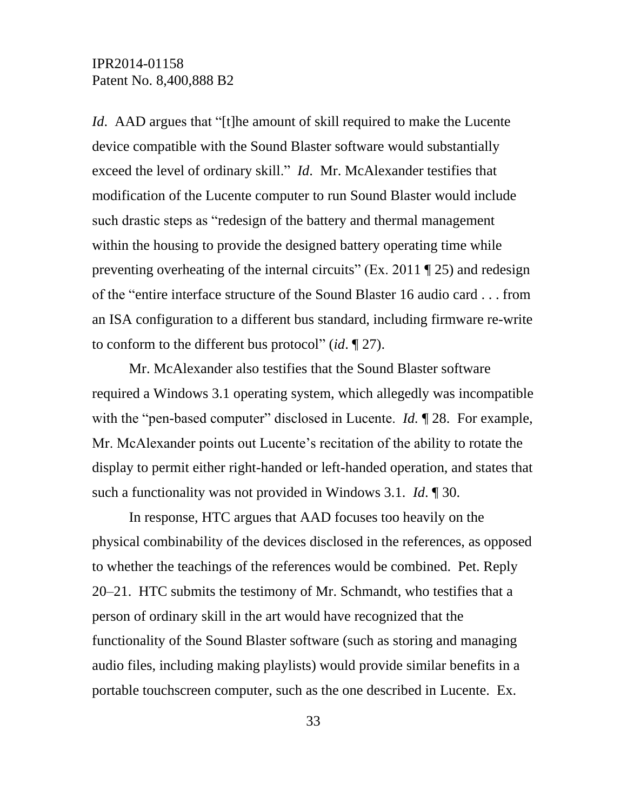*Id.* AAD argues that "[t]he amount of skill required to make the Lucente device compatible with the Sound Blaster software would substantially exceed the level of ordinary skill." *Id*. Mr. McAlexander testifies that modification of the Lucente computer to run Sound Blaster would include such drastic steps as "redesign of the battery and thermal management within the housing to provide the designed battery operating time while preventing overheating of the internal circuits" (Ex. 2011  $\P$  25) and redesign of the "entire interface structure of the Sound Blaster 16 audio card . . . from an ISA configuration to a different bus standard, including firmware re-write to conform to the different bus protocol" (*id*. ¶ 27).

Mr. McAlexander also testifies that the Sound Blaster software required a Windows 3.1 operating system, which allegedly was incompatible with the "pen-based computer" disclosed in Lucente. *Id.* ¶ 28. For example, Mr. McAlexander points out Lucente's recitation of the ability to rotate the display to permit either right-handed or left-handed operation, and states that such a functionality was not provided in Windows 3.1. *Id*. ¶ 30.

In response, HTC argues that AAD focuses too heavily on the physical combinability of the devices disclosed in the references, as opposed to whether the teachings of the references would be combined. Pet. Reply 20–21. HTC submits the testimony of Mr. Schmandt, who testifies that a person of ordinary skill in the art would have recognized that the functionality of the Sound Blaster software (such as storing and managing audio files, including making playlists) would provide similar benefits in a portable touchscreen computer, such as the one described in Lucente. Ex.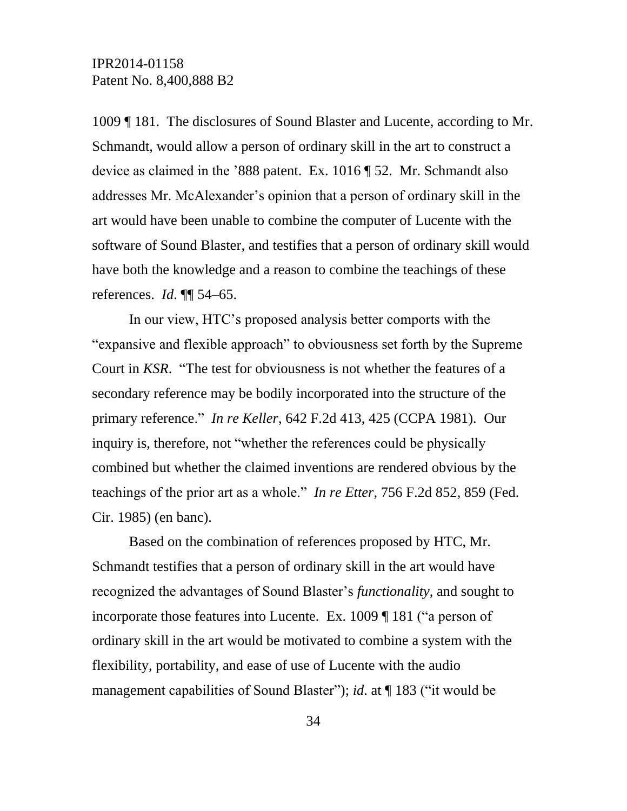1009 ¶ 181. The disclosures of Sound Blaster and Lucente, according to Mr. Schmandt, would allow a person of ordinary skill in the art to construct a device as claimed in the '888 patent. Ex. 1016 ¶ 52. Mr. Schmandt also addresses Mr. McAlexander's opinion that a person of ordinary skill in the art would have been unable to combine the computer of Lucente with the software of Sound Blaster, and testifies that a person of ordinary skill would have both the knowledge and a reason to combine the teachings of these references. *Id*. ¶¶ 54–65.

In our view, HTC's proposed analysis better comports with the "expansive and flexible approach" to obviousness set forth by the Supreme Court in *KSR*. "The test for obviousness is not whether the features of a secondary reference may be bodily incorporated into the structure of the primary reference." *In re Keller*, 642 F.2d 413, 425 (CCPA 1981). Our inquiry is, therefore, not "whether the references could be physically combined but whether the claimed inventions are rendered obvious by the teachings of the prior art as a whole." *In re Etter*, 756 F.2d 852, 859 (Fed. Cir. 1985) (en banc).

Based on the combination of references proposed by HTC, Mr. Schmandt testifies that a person of ordinary skill in the art would have recognized the advantages of Sound Blaster's *functionality*, and sought to incorporate those features into Lucente. Ex. 1009 ¶ 181 ("a person of ordinary skill in the art would be motivated to combine a system with the flexibility, portability, and ease of use of Lucente with the audio management capabilities of Sound Blaster"); *id.* at ¶ 183 ("it would be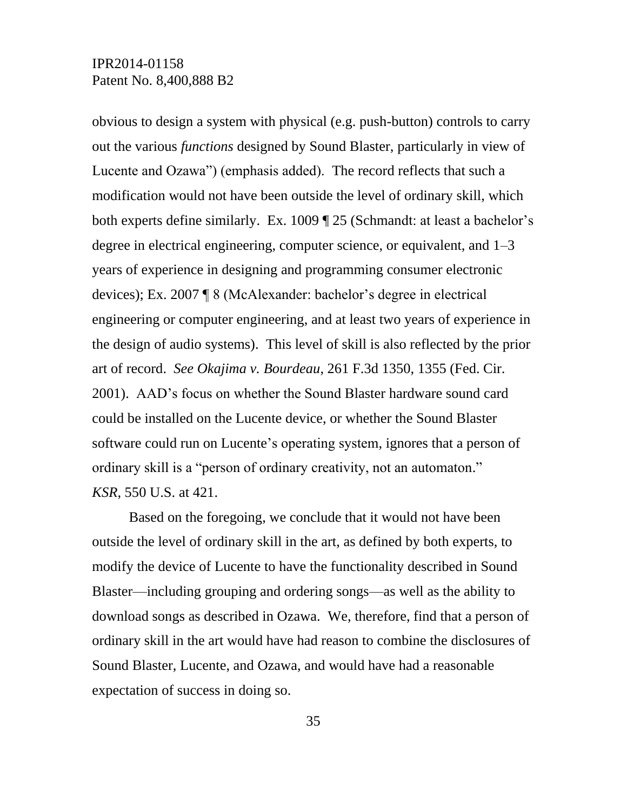obvious to design a system with physical (e.g. push-button) controls to carry out the various *functions* designed by Sound Blaster, particularly in view of Lucente and Ozawa") (emphasis added). The record reflects that such a modification would not have been outside the level of ordinary skill, which both experts define similarly. Ex. 1009 ¶ 25 (Schmandt: at least a bachelor's degree in electrical engineering, computer science, or equivalent, and 1–3 years of experience in designing and programming consumer electronic devices); Ex. 2007 ¶ 8 (McAlexander: bachelor's degree in electrical engineering or computer engineering, and at least two years of experience in the design of audio systems). This level of skill is also reflected by the prior art of record. *See Okajima v. Bourdeau*, 261 F.3d 1350, 1355 (Fed. Cir. 2001). AAD's focus on whether the Sound Blaster hardware sound card could be installed on the Lucente device, or whether the Sound Blaster software could run on Lucente's operating system, ignores that a person of ordinary skill is a "person of ordinary creativity, not an automaton." *KSR*, 550 U.S. at 421.

Based on the foregoing, we conclude that it would not have been outside the level of ordinary skill in the art, as defined by both experts, to modify the device of Lucente to have the functionality described in Sound Blaster—including grouping and ordering songs—as well as the ability to download songs as described in Ozawa. We, therefore, find that a person of ordinary skill in the art would have had reason to combine the disclosures of Sound Blaster, Lucente, and Ozawa, and would have had a reasonable expectation of success in doing so.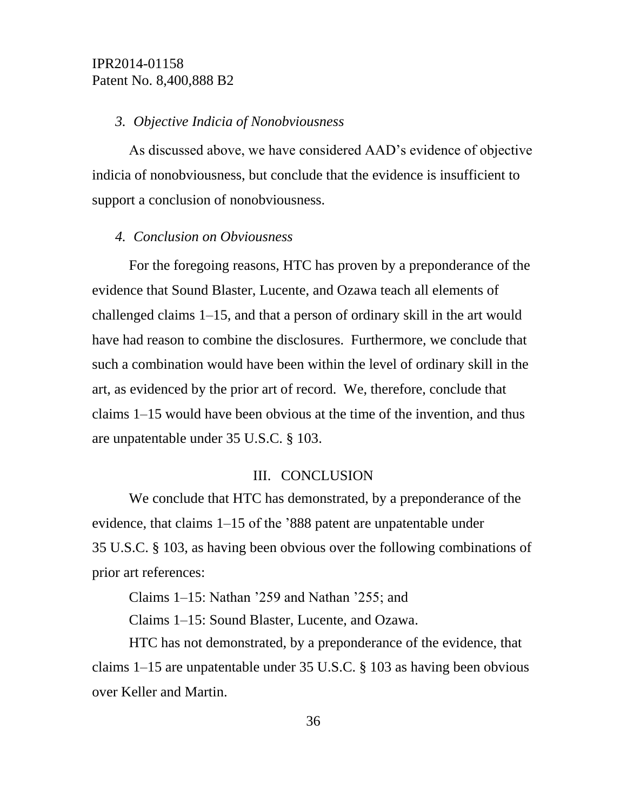### *3. Objective Indicia of Nonobviousness*

As discussed above, we have considered AAD's evidence of objective indicia of nonobviousness, but conclude that the evidence is insufficient to support a conclusion of nonobviousness.

#### *4. Conclusion on Obviousness*

For the foregoing reasons, HTC has proven by a preponderance of the evidence that Sound Blaster, Lucente, and Ozawa teach all elements of challenged claims 1–15, and that a person of ordinary skill in the art would have had reason to combine the disclosures. Furthermore, we conclude that such a combination would have been within the level of ordinary skill in the art, as evidenced by the prior art of record. We, therefore, conclude that claims 1–15 would have been obvious at the time of the invention, and thus are unpatentable under 35 U.S.C. § 103.

### III. CONCLUSION

We conclude that HTC has demonstrated, by a preponderance of the evidence, that claims 1–15 of the '888 patent are unpatentable under 35 U.S.C. § 103, as having been obvious over the following combinations of prior art references:

Claims 1–15: Nathan '259 and Nathan '255; and

Claims 1–15: Sound Blaster, Lucente, and Ozawa.

HTC has not demonstrated, by a preponderance of the evidence, that claims 1–15 are unpatentable under 35 U.S.C. § 103 as having been obvious over Keller and Martin.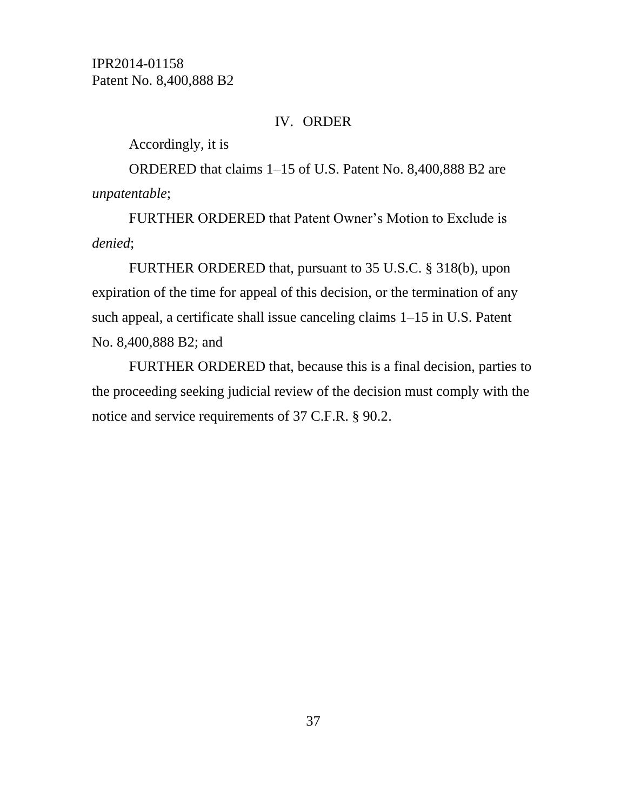### IV. ORDER

Accordingly, it is

ORDERED that claims 1–15 of U.S. Patent No. 8,400,888 B2 are *unpatentable*;

FURTHER ORDERED that Patent Owner's Motion to Exclude is *denied*;

FURTHER ORDERED that, pursuant to 35 U.S.C. § 318(b), upon expiration of the time for appeal of this decision, or the termination of any such appeal, a certificate shall issue canceling claims 1–15 in U.S. Patent No. 8,400,888 B2; and

FURTHER ORDERED that, because this is a final decision, parties to the proceeding seeking judicial review of the decision must comply with the notice and service requirements of 37 C.F.R. § 90.2.